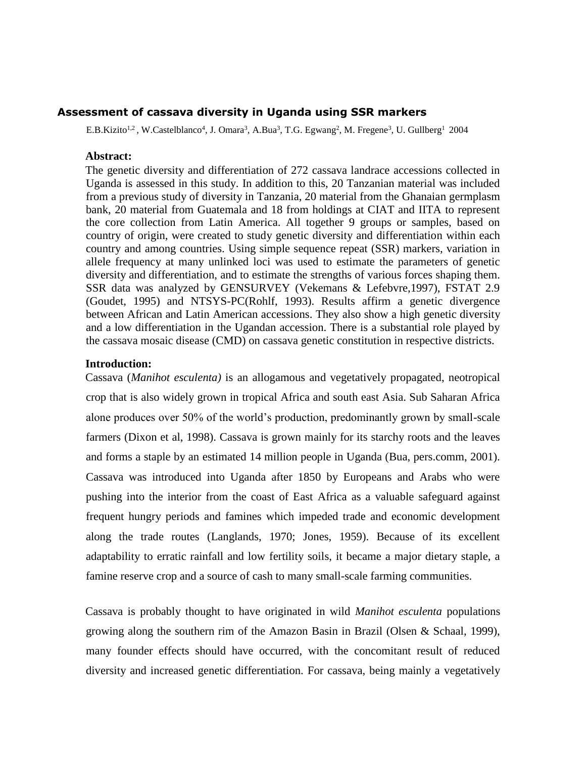#### **Assessment of cassava diversity in Uganda using SSR markers**

E.B.Kizito<sup>1,2</sup>, W.Castelblanco<sup>4</sup>, J. Omara<sup>3</sup>, A.Bua<sup>3</sup>, T.G. Egwang<sup>2</sup>, M. Fregene<sup>3</sup>, U. Gullberg<sup>1</sup> 2004

#### **Abstract:**

The genetic diversity and differentiation of 272 cassava landrace accessions collected in Uganda is assessed in this study. In addition to this, 20 Tanzanian material was included from a previous study of diversity in Tanzania, 20 material from the Ghanaian germplasm bank, 20 material from Guatemala and 18 from holdings at CIAT and IITA to represent the core collection from Latin America. All together 9 groups or samples, based on country of origin, were created to study genetic diversity and differentiation within each country and among countries. Using simple sequence repeat (SSR) markers, variation in allele frequency at many unlinked loci was used to estimate the parameters of genetic diversity and differentiation, and to estimate the strengths of various forces shaping them. SSR data was analyzed by GENSURVEY (Vekemans & Lefebvre,1997), FSTAT 2.9 (Goudet, 1995) and NTSYS-PC(Rohlf, 1993). Results affirm a genetic divergence between African and Latin American accessions. They also show a high genetic diversity and a low differentiation in the Ugandan accession. There is a substantial role played by the cassava mosaic disease (CMD) on cassava genetic constitution in respective districts.

#### **Introduction:**

Cassava (*Manihot esculenta)* is an allogamous and vegetatively propagated, neotropical crop that is also widely grown in tropical Africa and south east Asia. Sub Saharan Africa alone produces over 50% of the world's production, predominantly grown by small-scale farmers (Dixon et al, 1998). Cassava is grown mainly for its starchy roots and the leaves and forms a staple by an estimated 14 million people in Uganda (Bua, pers.comm, 2001). Cassava was introduced into Uganda after 1850 by Europeans and Arabs who were pushing into the interior from the coast of East Africa as a valuable safeguard against frequent hungry periods and famines which impeded trade and economic development along the trade routes (Langlands, 1970; Jones, 1959). Because of its excellent adaptability to erratic rainfall and low fertility soils, it became a major dietary staple, a famine reserve crop and a source of cash to many small-scale farming communities.

Cassava is probably thought to have originated in wild *Manihot esculenta* populations growing along the southern rim of the Amazon Basin in Brazil (Olsen & Schaal, 1999), many founder effects should have occurred, with the concomitant result of reduced diversity and increased genetic differentiation. For cassava, being mainly a vegetatively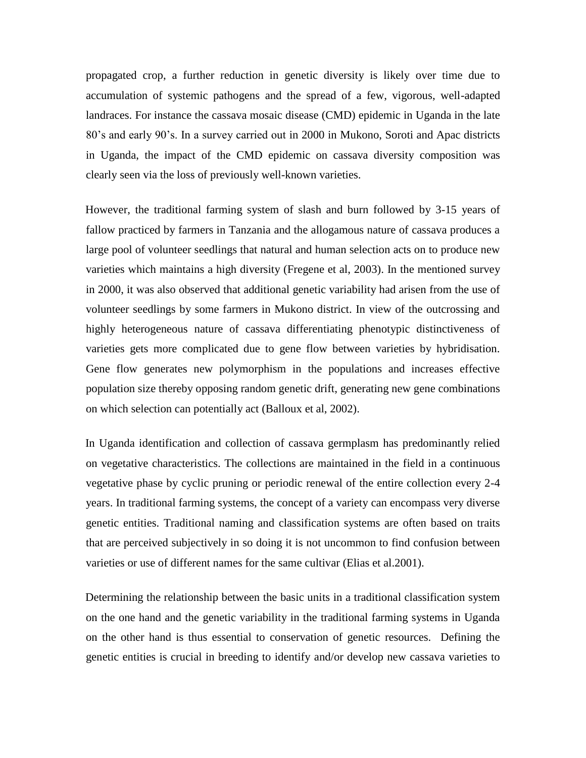propagated crop, a further reduction in genetic diversity is likely over time due to accumulation of systemic pathogens and the spread of a few, vigorous, well-adapted landraces. For instance the cassava mosaic disease (CMD) epidemic in Uganda in the late 80's and early 90's. In a survey carried out in 2000 in Mukono, Soroti and Apac districts in Uganda, the impact of the CMD epidemic on cassava diversity composition was clearly seen via the loss of previously well-known varieties.

However, the traditional farming system of slash and burn followed by 3-15 years of fallow practiced by farmers in Tanzania and the allogamous nature of cassava produces a large pool of volunteer seedlings that natural and human selection acts on to produce new varieties which maintains a high diversity (Fregene et al, 2003). In the mentioned survey in 2000, it was also observed that additional genetic variability had arisen from the use of volunteer seedlings by some farmers in Mukono district. In view of the outcrossing and highly heterogeneous nature of cassava differentiating phenotypic distinctiveness of varieties gets more complicated due to gene flow between varieties by hybridisation. Gene flow generates new polymorphism in the populations and increases effective population size thereby opposing random genetic drift, generating new gene combinations on which selection can potentially act (Balloux et al, 2002).

In Uganda identification and collection of cassava germplasm has predominantly relied on vegetative characteristics. The collections are maintained in the field in a continuous vegetative phase by cyclic pruning or periodic renewal of the entire collection every 2-4 years. In traditional farming systems, the concept of a variety can encompass very diverse genetic entities. Traditional naming and classification systems are often based on traits that are perceived subjectively in so doing it is not uncommon to find confusion between varieties or use of different names for the same cultivar (Elias et al.2001).

Determining the relationship between the basic units in a traditional classification system on the one hand and the genetic variability in the traditional farming systems in Uganda on the other hand is thus essential to conservation of genetic resources. Defining the genetic entities is crucial in breeding to identify and/or develop new cassava varieties to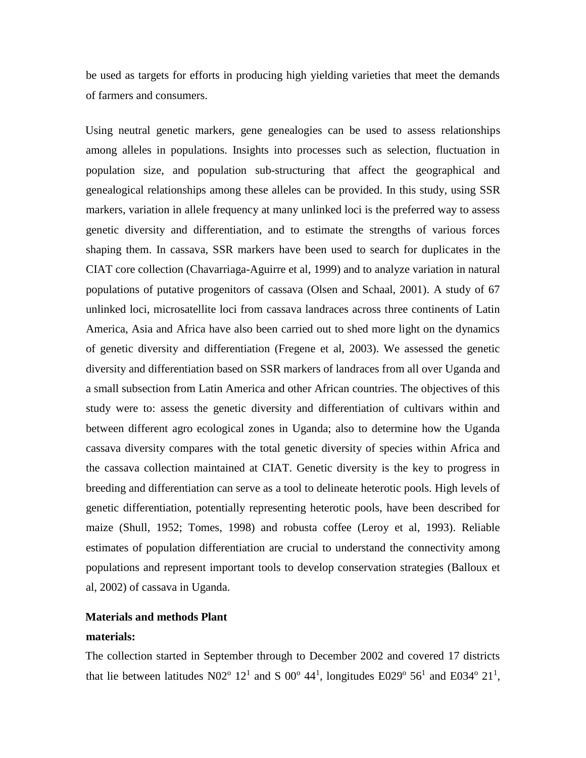be used as targets for efforts in producing high yielding varieties that meet the demands of farmers and consumers.

Using neutral genetic markers, gene genealogies can be used to assess relationships among alleles in populations. Insights into processes such as selection, fluctuation in population size, and population sub-structuring that affect the geographical and genealogical relationships among these alleles can be provided. In this study, using SSR markers, variation in allele frequency at many unlinked loci is the preferred way to assess genetic diversity and differentiation, and to estimate the strengths of various forces shaping them. In cassava, SSR markers have been used to search for duplicates in the CIAT core collection (Chavarriaga-Aguirre et al, 1999) and to analyze variation in natural populations of putative progenitors of cassava (Olsen and Schaal, 2001). A study of 67 unlinked loci, microsatellite loci from cassava landraces across three continents of Latin America, Asia and Africa have also been carried out to shed more light on the dynamics of genetic diversity and differentiation (Fregene et al, 2003). We assessed the genetic diversity and differentiation based on SSR markers of landraces from all over Uganda and a small subsection from Latin America and other African countries. The objectives of this study were to: assess the genetic diversity and differentiation of cultivars within and between different agro ecological zones in Uganda; also to determine how the Uganda cassava diversity compares with the total genetic diversity of species within Africa and the cassava collection maintained at CIAT. Genetic diversity is the key to progress in breeding and differentiation can serve as a tool to delineate heterotic pools. High levels of genetic differentiation, potentially representing heterotic pools, have been described for maize (Shull, 1952; Tomes, 1998) and robusta coffee (Leroy et al, 1993). Reliable estimates of population differentiation are crucial to understand the connectivity among populations and represent important tools to develop conservation strategies (Balloux et al, 2002) of cassava in Uganda.

# **Materials and methods Plant**

## **materials:**

The collection started in September through to December 2002 and covered 17 districts that lie between latitudes N02<sup>o</sup> 12<sup>1</sup> and S 00<sup>o</sup> 44<sup>1</sup>, longitudes E029<sup>o</sup> 56<sup>1</sup> and E034<sup>o</sup> 21<sup>1</sup>,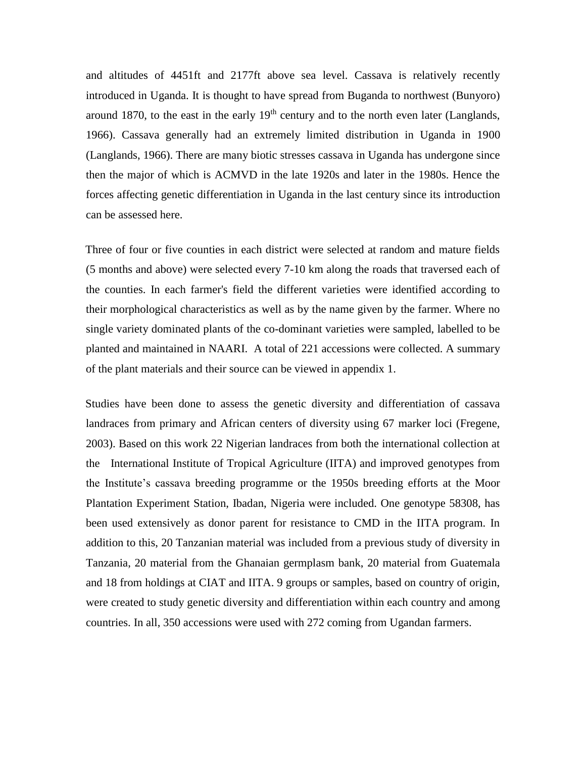and altitudes of 4451ft and 2177ft above sea level. Cassava is relatively recently introduced in Uganda. It is thought to have spread from Buganda to northwest (Bunyoro) around 1870, to the east in the early  $19<sup>th</sup>$  century and to the north even later (Langlands, 1966). Cassava generally had an extremely limited distribution in Uganda in 1900 (Langlands, 1966). There are many biotic stresses cassava in Uganda has undergone since then the major of which is ACMVD in the late 1920s and later in the 1980s. Hence the forces affecting genetic differentiation in Uganda in the last century since its introduction can be assessed here.

Three of four or five counties in each district were selected at random and mature fields (5 months and above) were selected every 7-10 km along the roads that traversed each of the counties. In each farmer's field the different varieties were identified according to their morphological characteristics as well as by the name given by the farmer. Where no single variety dominated plants of the co-dominant varieties were sampled, labelled to be planted and maintained in NAARI. A total of 221 accessions were collected. A summary of the plant materials and their source can be viewed in appendix 1.

Studies have been done to assess the genetic diversity and differentiation of cassava landraces from primary and African centers of diversity using 67 marker loci (Fregene, 2003). Based on this work 22 Nigerian landraces from both the international collection at the International Institute of Tropical Agriculture (IITA) and improved genotypes from the Institute's cassava breeding programme or the 1950s breeding efforts at the Moor Plantation Experiment Station, Ibadan, Nigeria were included. One genotype 58308, has been used extensively as donor parent for resistance to CMD in the IITA program. In addition to this, 20 Tanzanian material was included from a previous study of diversity in Tanzania, 20 material from the Ghanaian germplasm bank, 20 material from Guatemala and 18 from holdings at CIAT and IITA. 9 groups or samples, based on country of origin, were created to study genetic diversity and differentiation within each country and among countries. In all, 350 accessions were used with 272 coming from Ugandan farmers.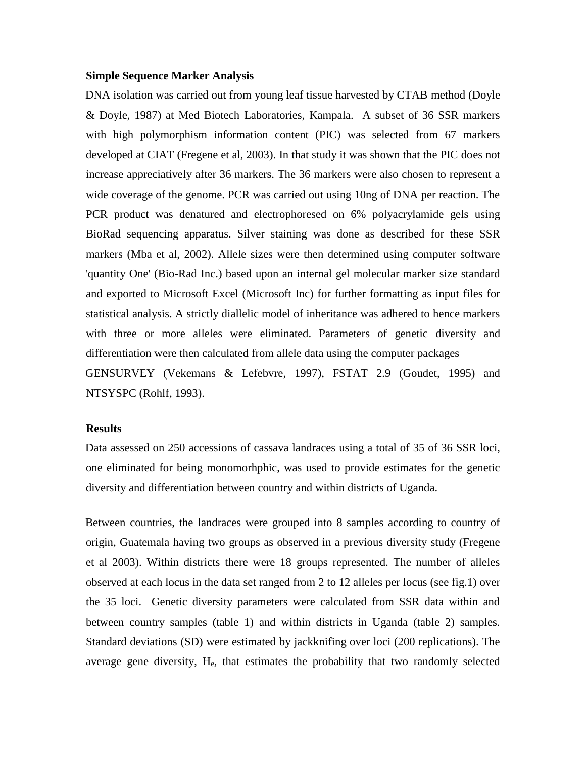### **Simple Sequence Marker Analysis**

DNA isolation was carried out from young leaf tissue harvested by CTAB method (Doyle & Doyle, 1987) at Med Biotech Laboratories, Kampala. A subset of 36 SSR markers with high polymorphism information content (PIC) was selected from 67 markers developed at CIAT (Fregene et al, 2003). In that study it was shown that the PIC does not increase appreciatively after 36 markers. The 36 markers were also chosen to represent a wide coverage of the genome. PCR was carried out using 10ng of DNA per reaction. The PCR product was denatured and electrophoresed on 6% polyacrylamide gels using BioRad sequencing apparatus. Silver staining was done as described for these SSR markers (Mba et al, 2002). Allele sizes were then determined using computer software 'quantity One' (Bio-Rad Inc.) based upon an internal gel molecular marker size standard and exported to Microsoft Excel (Microsoft Inc) for further formatting as input files for statistical analysis. A strictly diallelic model of inheritance was adhered to hence markers with three or more alleles were eliminated. Parameters of genetic diversity and differentiation were then calculated from allele data using the computer packages GENSURVEY (Vekemans & Lefebvre, 1997), FSTAT 2.9 (Goudet, 1995) and NTSYSPC (Rohlf, 1993).

### **Results**

Data assessed on 250 accessions of cassava landraces using a total of 35 of 36 SSR loci, one eliminated for being monomorhphic, was used to provide estimates for the genetic diversity and differentiation between country and within districts of Uganda.

Between countries, the landraces were grouped into 8 samples according to country of origin, Guatemala having two groups as observed in a previous diversity study (Fregene et al 2003). Within districts there were 18 groups represented. The number of alleles observed at each locus in the data set ranged from 2 to 12 alleles per locus (see fig.1) over the 35 loci. Genetic diversity parameters were calculated from SSR data within and between country samples (table 1) and within districts in Uganda (table 2) samples. Standard deviations (SD) were estimated by jackknifing over loci (200 replications). The average gene diversity,  $H_e$ , that estimates the probability that two randomly selected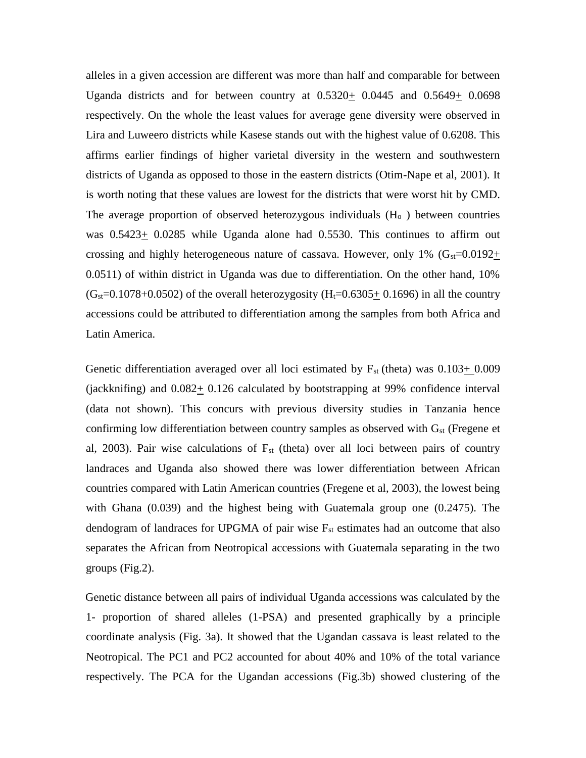alleles in a given accession are different was more than half and comparable for between Uganda districts and for between country at  $0.5320+0.0445$  and  $0.5649+0.0698$ respectively. On the whole the least values for average gene diversity were observed in Lira and Luweero districts while Kasese stands out with the highest value of 0.6208. This affirms earlier findings of higher varietal diversity in the western and southwestern districts of Uganda as opposed to those in the eastern districts (Otim-Nape et al, 2001). It is worth noting that these values are lowest for the districts that were worst hit by CMD. The average proportion of observed heterozygous individuals  $(H_0)$  between countries was  $0.5423 \pm 0.0285$  while Uganda alone had 0.5530. This continues to affirm out crossing and highly heterogeneous nature of cassava. However, only 1%  $(G<sub>st</sub>=0.0192+)$ 0.0511) of within district in Uganda was due to differentiation. On the other hand, 10%  $(G<sub>st</sub>=0.1078+0.0502)$  of the overall heterozygosity (H<sub>t</sub>=0.6305 $\pm$  0.1696) in all the country accessions could be attributed to differentiation among the samples from both Africa and Latin America.

Genetic differentiation averaged over all loci estimated by  $F_{st}$  (theta) was  $0.103+0.009$ (jackknifing) and  $0.082 \pm 0.126$  calculated by bootstrapping at 99% confidence interval (data not shown). This concurs with previous diversity studies in Tanzania hence confirming low differentiation between country samples as observed with  $G_{st}$  (Fregene et al, 2003). Pair wise calculations of  $F_{st}$  (theta) over all loci between pairs of country landraces and Uganda also showed there was lower differentiation between African countries compared with Latin American countries (Fregene et al, 2003), the lowest being with Ghana (0.039) and the highest being with Guatemala group one (0.2475). The dendogram of landraces for UPGMA of pair wise  $F_{st}$  estimates had an outcome that also separates the African from Neotropical accessions with Guatemala separating in the two groups (Fig.2).

Genetic distance between all pairs of individual Uganda accessions was calculated by the 1- proportion of shared alleles (1-PSA) and presented graphically by a principle coordinate analysis (Fig. 3a). It showed that the Ugandan cassava is least related to the Neotropical. The PC1 and PC2 accounted for about 40% and 10% of the total variance respectively. The PCA for the Ugandan accessions (Fig.3b) showed clustering of the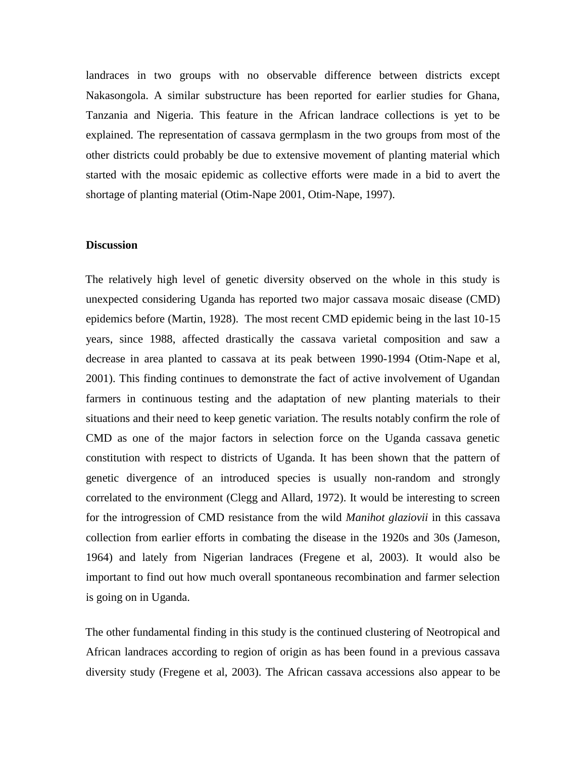landraces in two groups with no observable difference between districts except Nakasongola. A similar substructure has been reported for earlier studies for Ghana, Tanzania and Nigeria. This feature in the African landrace collections is yet to be explained. The representation of cassava germplasm in the two groups from most of the other districts could probably be due to extensive movement of planting material which started with the mosaic epidemic as collective efforts were made in a bid to avert the shortage of planting material (Otim-Nape 2001, Otim-Nape, 1997).

#### **Discussion**

The relatively high level of genetic diversity observed on the whole in this study is unexpected considering Uganda has reported two major cassava mosaic disease (CMD) epidemics before (Martin, 1928). The most recent CMD epidemic being in the last 10-15 years, since 1988, affected drastically the cassava varietal composition and saw a decrease in area planted to cassava at its peak between 1990-1994 (Otim-Nape et al, 2001). This finding continues to demonstrate the fact of active involvement of Ugandan farmers in continuous testing and the adaptation of new planting materials to their situations and their need to keep genetic variation. The results notably confirm the role of CMD as one of the major factors in selection force on the Uganda cassava genetic constitution with respect to districts of Uganda. It has been shown that the pattern of genetic divergence of an introduced species is usually non-random and strongly correlated to the environment (Clegg and Allard, 1972). It would be interesting to screen for the introgression of CMD resistance from the wild *Manihot glaziovii* in this cassava collection from earlier efforts in combating the disease in the 1920s and 30s (Jameson, 1964) and lately from Nigerian landraces (Fregene et al, 2003). It would also be important to find out how much overall spontaneous recombination and farmer selection is going on in Uganda.

The other fundamental finding in this study is the continued clustering of Neotropical and African landraces according to region of origin as has been found in a previous cassava diversity study (Fregene et al, 2003). The African cassava accessions also appear to be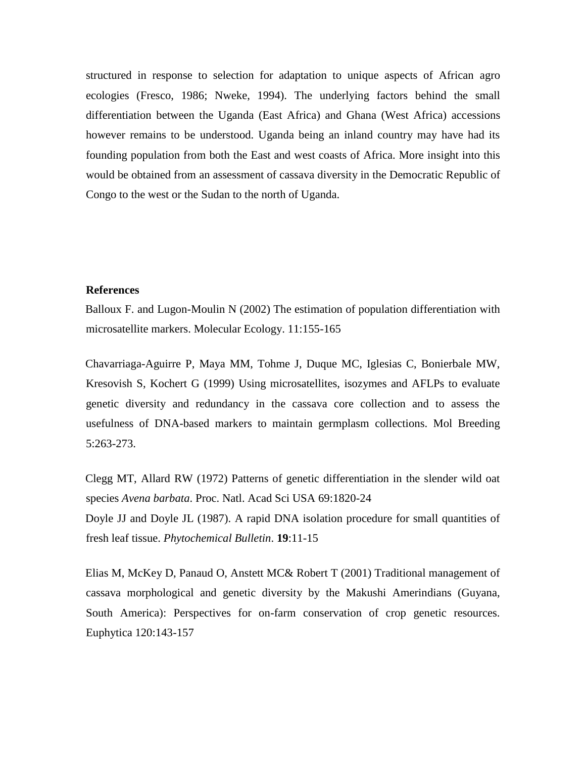structured in response to selection for adaptation to unique aspects of African agro ecologies (Fresco, 1986; Nweke, 1994). The underlying factors behind the small differentiation between the Uganda (East Africa) and Ghana (West Africa) accessions however remains to be understood. Uganda being an inland country may have had its founding population from both the East and west coasts of Africa. More insight into this would be obtained from an assessment of cassava diversity in the Democratic Republic of Congo to the west or the Sudan to the north of Uganda.

## **References**

Balloux F. and Lugon-Moulin N (2002) The estimation of population differentiation with microsatellite markers. Molecular Ecology. 11:155-165

Chavarriaga-Aguirre P, Maya MM, Tohme J, Duque MC, Iglesias C, Bonierbale MW, Kresovish S, Kochert G (1999) Using microsatellites, isozymes and AFLPs to evaluate genetic diversity and redundancy in the cassava core collection and to assess the usefulness of DNA-based markers to maintain germplasm collections. Mol Breeding 5:263-273.

Clegg MT, Allard RW (1972) Patterns of genetic differentiation in the slender wild oat species *Avena barbata*. Proc. Natl. Acad Sci USA 69:1820-24 Doyle JJ and Doyle JL (1987). A rapid DNA isolation procedure for small quantities of fresh leaf tissue. *Phytochemical Bulletin*. **19**:11-15

Elias M, McKey D, Panaud O, Anstett MC& Robert T (2001) Traditional management of cassava morphological and genetic diversity by the Makushi Amerindians (Guyana, South America): Perspectives for on-farm conservation of crop genetic resources. Euphytica 120:143-157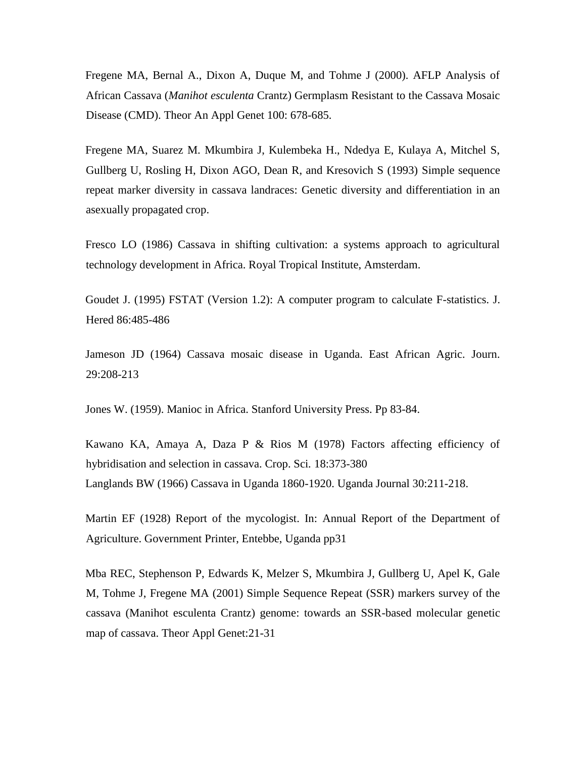Fregene MA, Bernal A., Dixon A, Duque M, and Tohme J (2000). AFLP Analysis of African Cassava (*Manihot esculenta* Crantz) Germplasm Resistant to the Cassava Mosaic Disease (CMD). Theor An Appl Genet 100: 678-685.

Fregene MA, Suarez M. Mkumbira J, Kulembeka H., Ndedya E, Kulaya A, Mitchel S, Gullberg U, Rosling H, Dixon AGO, Dean R, and Kresovich S (1993) Simple sequence repeat marker diversity in cassava landraces: Genetic diversity and differentiation in an asexually propagated crop.

Fresco LO (1986) Cassava in shifting cultivation: a systems approach to agricultural technology development in Africa. Royal Tropical Institute, Amsterdam.

Goudet J. (1995) FSTAT (Version 1.2): A computer program to calculate F-statistics. J. Hered 86:485-486

Jameson JD (1964) Cassava mosaic disease in Uganda. East African Agric. Journ. 29:208-213

Jones W. (1959). Manioc in Africa. Stanford University Press. Pp 83-84.

Kawano KA, Amaya A, Daza P & Rios M (1978) Factors affecting efficiency of hybridisation and selection in cassava. Crop. Sci*.* 18:373-380 Langlands BW (1966) Cassava in Uganda 1860-1920. Uganda Journal 30:211-218.

Martin EF (1928) Report of the mycologist. In: Annual Report of the Department of Agriculture. Government Printer, Entebbe, Uganda pp31

Mba REC, Stephenson P, Edwards K, Melzer S, Mkumbira J, Gullberg U, Apel K, Gale M, Tohme J, Fregene MA (2001) Simple Sequence Repeat (SSR) markers survey of the cassava (Manihot esculenta Crantz) genome: towards an SSR-based molecular genetic map of cassava. Theor Appl Genet:21-31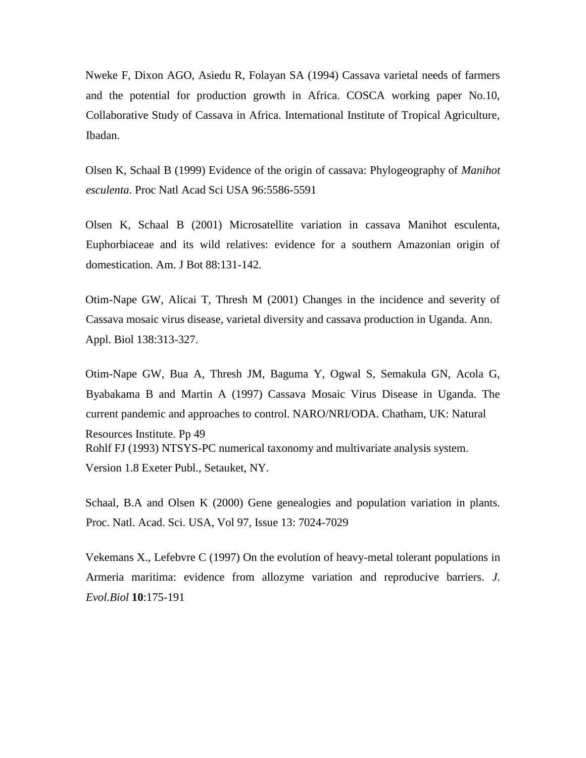Nweke F, Dixon AGO, Asiedu R, Folayan SA (1994) Cassava varietal needs of farmers and the potential for production growth in Africa. COSCA working paper No.10, Collaborative Study of Cassava in Africa. International Institute of Tropical Agriculture, Ibadan.

Olsen K, Schaal B (1999) Evidence of the origin of cassava: Phylogeography of *Manihot esculenta*. Proc Natl Acad Sci USA 96:5586-5591

Olsen K, Schaal B (2001) Microsatellite variation in cassava Manihot esculenta, Euphorbiaceae and its wild relatives: evidence for a southern Amazonian origin of domestication. Am. J Bot 88:131-142.

Otim-Nape GW, Alicai T, Thresh M (2001) Changes in the incidence and severity of Cassava mosaic virus disease, varietal diversity and cassava production in Uganda. Ann. Appl. Biol 138:313-327.

Otim-Nape GW, Bua A, Thresh JM, Baguma Y, Ogwal S, Semakula GN, Acola G, Byabakama B and Martin A (1997) Cassava Mosaic Virus Disease in Uganda. The current pandemic and approaches to control. NARO/NRI/ODA. Chatham, UK: Natural Resources Institute. Pp 49 Rohlf FJ (1993) NTSYS-PC numerical taxonomy and multivariate analysis system. Version 1.8 Exeter Publ., Setauket, NY.

Schaal, B.A and Olsen K (2000) Gene genealogies and population variation in plants. Proc. Natl. Acad. Sci. USA, Vol 97, Issue 13: 7024-7029

Vekemans X., Lefebvre C (1997) On the evolution of heavy-metal tolerant populations in Armeria maritima: evidence from allozyme variation and reproducive barriers. *J. Evol.Biol* **10**:175-191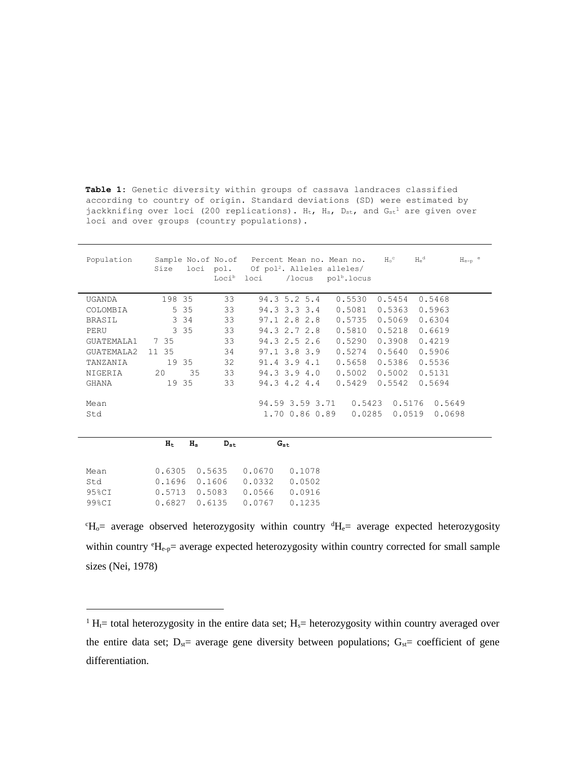**Table 1:** Genetic diversity within groups of cassava landraces classified according to country of origin. Standard deviations (SD) were estimated by jackknifing over loci (200 replications).  $H_t$ ,  $H_s$ ,  $D_{st}$ , and  $G_{st}$ <sup>1</sup> are given over loci and over groups (country populations).

| Population        | Size                           | Sample No.of No.of Percent Mean no. Mean no.<br>loci pol. Of pol <sup>2</sup> . Alleles alleles/<br>Loci <sup>b</sup> loci<br>/locus | $H_0^{\circ}$<br>pol <sup>b</sup> .locus | $H_e^d$<br>$He-p$ <sup>e</sup>       |
|-------------------|--------------------------------|--------------------------------------------------------------------------------------------------------------------------------------|------------------------------------------|--------------------------------------|
| <b>UGANDA</b>     | 198 35<br>33                   | $94.3$ 5.2 5.4                                                                                                                       | 0.5530<br>0.5454                         | 0.5468                               |
| COLOMBIA          | 5 3 5<br>33                    | 94.3 3.3 3.4                                                                                                                         | 0.5081<br>0.5363                         | 0.5963                               |
| <b>BRASIL</b>     | 33<br>3 3 4                    | $97.1$ 2.8 2.8                                                                                                                       | 0.5069<br>0.5735                         | 0.6304                               |
| PERU              | 3 3 5<br>33                    | 94.3 2.7 2.8                                                                                                                         | 0.5810<br>0.5218                         | 0.6619                               |
| <b>GUATEMALA1</b> | 33<br>7 35                     | 94.3 2.5 2.6                                                                                                                         | 0.5290<br>0.3908                         | 0.4219                               |
| GUATEMALA2        | 34<br>11 35                    | $97.1$ 3.8 3.9                                                                                                                       | 0.5274<br>0.5640                         | 0.5906                               |
| TANZANIA          | 19 35<br>32                    | $91.4 \t3.9 \t4.1$                                                                                                                   | 0.5658<br>0.5386                         | 0.5536                               |
| NIGERIA           | 33<br>20<br>35                 | $94.3$ 3.9 4.0                                                                                                                       | 0.5002<br>0.5002                         | 0.5131                               |
| GHANA             | 19 35<br>33                    | 94.3 4.2 4.4                                                                                                                         | 0.5542<br>0.5429                         | 0.5694                               |
| Mean<br>Std       |                                | 94.59 3.59 3.71<br>1.70 0.86 0.89                                                                                                    | 0.5423<br>0.0285                         | 0.5176<br>0.5649<br>0.0519<br>0.0698 |
|                   | $H_s$<br>$H_t$<br>$D_{\rm st}$ | $G_{\rm st}$                                                                                                                         |                                          |                                      |
| Mean              | 0.6305<br>0.5635               | 0.0670<br>0.1078                                                                                                                     |                                          |                                      |
| Std               | 0.1696<br>0.1606               | 0.0332<br>0.0502                                                                                                                     |                                          |                                      |
| 95%CI             | 0.5713<br>0.5083               | 0.0566<br>0.0916                                                                                                                     |                                          |                                      |
| 99%CI             | 0.6135<br>0.6827               | 0.0767<br>0.1235                                                                                                                     |                                          |                                      |

 $\mathrm{H}_{\mathrm{o}}$  = average observed heterozygosity within country  $\mathrm{H}_{\mathrm{e}}$  = average expected heterozygosity within country  ${}^eH_{e-p}$  average expected heterozygosity within country corrected for small sample sizes (Nei, 1978)

 $\overline{a}$ 

 $1 H_t$ = total heterozygosity in the entire data set; H<sub>s</sub>= heterozygosity within country averaged over the entire data set;  $D_{st}$  average gene diversity between populations;  $G_{st}$  coefficient of gene differentiation.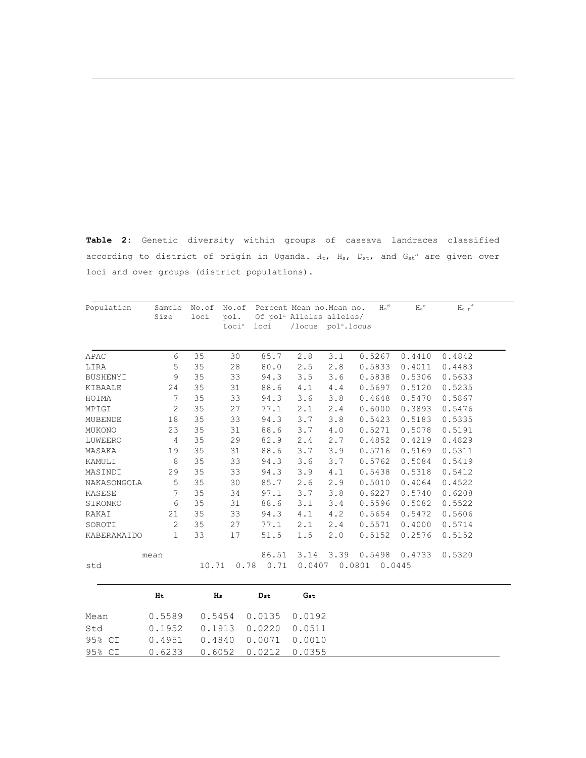**Table 2:** Genetic diversity within groups of cassava landraces classified according to district of origin in Uganda.  $H_t$ ,  $H_s$ ,  $D_{st}$ , and  $G_{st}$ <sup>a</sup> are given over loci and over groups (district populations).

| Population     | Sample<br>Size | No.of<br>loci  | No.of<br>pol.<br>Loci <sup>c</sup> | Percent Mean no. Mean no.<br>Of pol <sup>c</sup> Alleles alleles/<br>loci | /locus pol <sup>c</sup> .locus |       | $H_0^d$ | $H_e^e$ | $H_{e-p}$ <sup>f</sup> |
|----------------|----------------|----------------|------------------------------------|---------------------------------------------------------------------------|--------------------------------|-------|---------|---------|------------------------|
| APAC           | 6              | 35             | 30                                 | 85.7                                                                      | 2.8                            | 3.1   | 0.5267  | 0.4410  | 0.4842                 |
| LIRA           | 5              | 35             | 28                                 | 80.0                                                                      | 2.5                            | 2.8   | 0.5833  | 0.4011  | 0.4483                 |
| BUSHENYI       | 9              | 35             | 33                                 | 94.3                                                                      | 3.5                            | 3.6   | 0.5838  | 0.5306  | 0.5633                 |
| KIBAALE        | 24             | 35             | 31                                 | 88.6                                                                      | 4.1                            | 4.4   | 0.5697  | 0.5120  | 0.5235                 |
| HOIMA          | 7              | 35             | 33                                 | 94.3                                                                      | 3.6                            | 3.8   | 0.4648  | 0.5470  | 0.5867                 |
| MPIGI          | 2              | 35             | 27                                 | 77.1                                                                      | 2.1                            | 2.4   | 0.6000  | 0.3893  | 0.5476                 |
| <b>MUBENDE</b> | 18             | 35             | 33                                 | 94.3                                                                      | 3.7                            | $3.8$ | 0.5423  | 0.5183  | 0.5335                 |
| MUKONO         | 23             | 35             | 31                                 | 88.6                                                                      | 3.7                            | 4.0   | 0.5271  | 0.5078  | 0.5191                 |
| LUWEERO        | $\overline{4}$ | 35             | 29                                 | 82.9                                                                      | 2.4                            | 2.7   | 0.4852  | 0.4219  | 0.4829                 |
| MASAKA         | 19             | 35             | 31                                 | 88.6                                                                      | 3.7                            | 3.9   | 0.5716  | 0.5169  | 0.5311                 |
| KAMULI         | 8              | 35             | 33                                 | 94.3                                                                      | 3.6                            | 3.7   | 0.5762  | 0.5084  | 0.5419                 |
| MASINDI        | 29             | 35             | 33                                 | 94.3                                                                      | 3.9                            | 4.1   | 0.5438  | 0.5318  | 0.5412                 |
| NAKASONGOLA    | 5              | 35             | 30                                 | 85.7                                                                      | 2.6                            | 2.9   | 0.5010  | 0.4064  | 0.4522                 |
| KASESE         | 7              | 35             | 34                                 | 97.1                                                                      | 3.7                            | 3.8   | 0.6227  | 0.5740  | 0.6208                 |
| SIRONKO        | 6              | 35             | 31                                 | 88.6                                                                      | 3.1                            | 3.4   | 0.5596  | 0.5082  | 0.5522                 |
| RAKAI          | 21             | 35             | 33                                 | 94.3                                                                      | 4.1                            | 4.2   | 0.5654  | 0.5472  | 0.5606                 |
| SOROTI         | 2              | 35             | 27                                 | 77.1                                                                      | 2.1                            | 2.4   | 0.5571  | 0.4000  | 0.5714                 |
| KABERAMAIDO    | 1              | 33             | 17                                 | 51.5                                                                      | 1.5                            | 2.0   | 0.5152  | 0.2576  | 0.5152                 |
|                | mean           |                |                                    | 86.51                                                                     | 3.14                           | 3.39  | 0.5498  | 0.4733  | 0.5320                 |
| std            |                | 10.71          | 0.78                               | 0.71                                                                      | 0.0407                         |       | 0.0801  | 0.0445  |                        |
|                | H <sub>t</sub> | H <sub>s</sub> |                                    | $D_{st}$                                                                  | Gst                            |       |         |         |                        |

|      | H <sub>t</sub>                      | $_{\rm Hs}$                       | $_{\rm Det}$ | $G_{\rm st}$ |
|------|-------------------------------------|-----------------------------------|--------------|--------------|
| Mean |                                     | 0.5589   0.5454   0.0135   0.0192 |              |              |
| Std  | $0.1952$ $0.1913$ $0.0220$ $0.0511$ |                                   |              |              |
|      | 95% CI 0.4951 0.4840 0.0071 0.0010  |                                   |              |              |
|      | 95% CI 0.6233 0.6052 0.0212 0.0355  |                                   |              |              |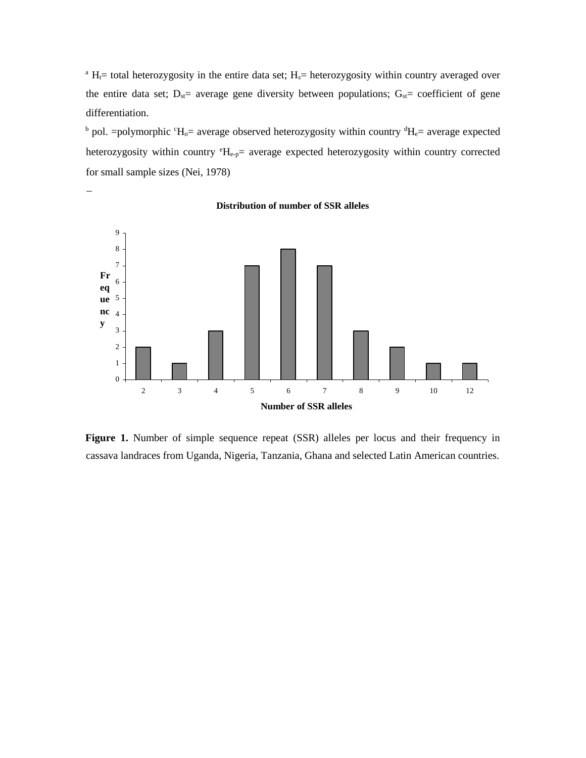<sup>a</sup> H<sub> $i$ </sub> total heterozygosity in the entire data set; H<sub>s</sub>= heterozygosity within country averaged over the entire data set;  $D_{st}=$  average gene diversity between populations;  $G_{st}=$  coefficient of gene differentiation.

 $\mu$  pol. =polymorphic  $\mu$ <sup>-</sup>H<sub>0</sub>= average observed heterozygosity within country  $\mu$ <sup>-H<sub>e</sub>= average expected</sup> heterozygosity within country  ${}^eH_{e-p}$  average expected heterozygosity within country corrected for small sample sizes (Nei, 1978)



**Distribution of number of SSR alleles**

L,

**Figure 1.** Number of simple sequence repeat (SSR) alleles per locus and their frequency in cassava landraces from Uganda, Nigeria, Tanzania, Ghana and selected Latin American countries.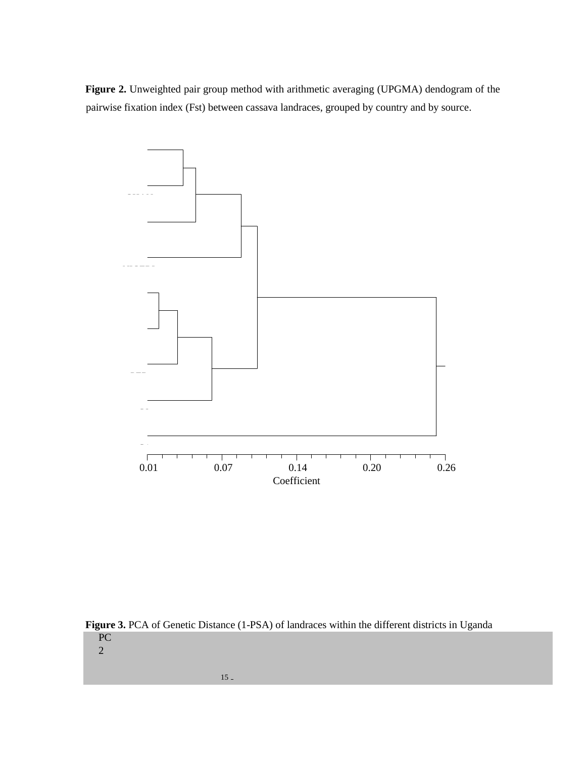**Figure 2.** Unweighted pair group method with arithmetic averaging (UPGMA) dendogram of the pairwise fixation index (Fst) between cassava landraces, grouped by country and by source.



Figure 3. PCA of Genetic Distance (1-PSA) of landraces within the different districts in Uganda PC

2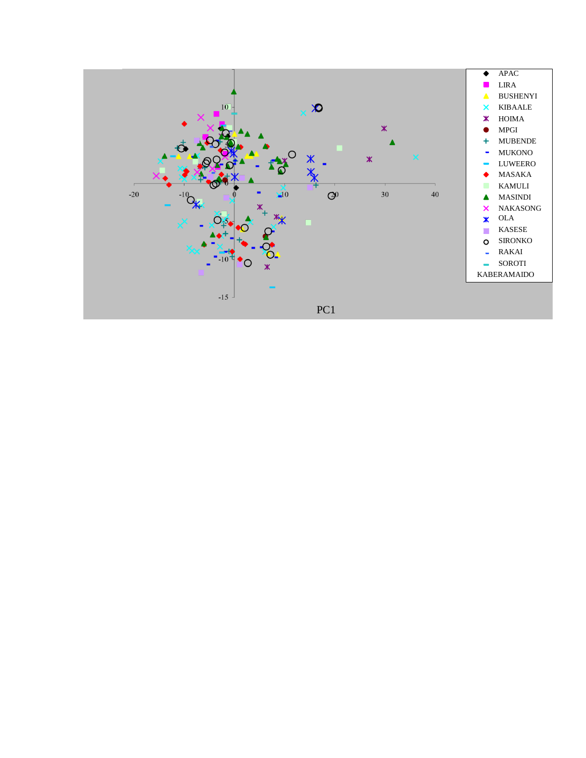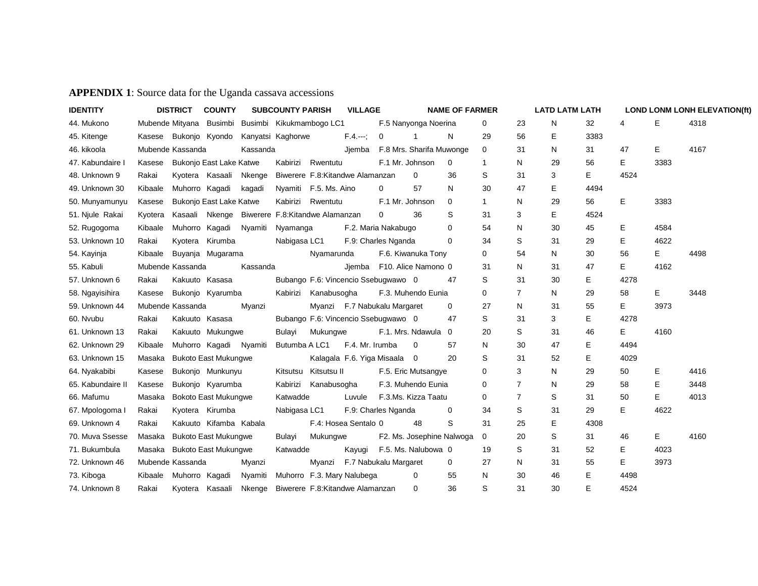# **APPENDIX 1**: Source data for the Uganda cassava accessions

| <b>IDENTITY</b>   |         | <b>DISTRICT</b>  | <b>COUNTY</b>                                    |          | <b>SUBCOUNTY PARISH</b> |                       | <b>VILLAGE</b>                      |   |                           | <b>NAME OF FARMER</b> |                |                | <b>LATD LATM LATH</b> |      |      |      | <b>LOND LONM LONH ELEVATION(ft)</b> |
|-------------------|---------|------------------|--------------------------------------------------|----------|-------------------------|-----------------------|-------------------------------------|---|---------------------------|-----------------------|----------------|----------------|-----------------------|------|------|------|-------------------------------------|
| 44. Mukono        |         |                  | Mubende Mityana Busimbi Busimbi Kikukmambogo LC1 |          |                         |                       |                                     |   | F.5 Nanyonga Noerina      |                       | 0              | 23             | N                     | 32   | 4    | Е    | 4318                                |
| 45. Kitenge       |         |                  | Kasese Bukonjo Kyondo                            |          | Kanyatsi Kaghorwe       |                       | F.4.                                | 0 | $\overline{1}$            | N                     | 29             | 56             | Е                     | 3383 |      |      |                                     |
| 46. kikoola       |         | Mubende Kassanda |                                                  | Kassanda |                         |                       | Jjemba                              |   | F.8 Mrs. Sharifa Muwonge  |                       | 0              | 31             | N                     | 31   | 47   | Е    | 4167                                |
| 47. Kabundaire I  | Kasese  |                  | <b>Bukonjo East Lake Katwe</b>                   |          | Kabirizi                | Rwentutu              |                                     |   | F.1 Mr. Johnson           | $\Omega$              | $\overline{1}$ | N              | 29                    | 56   | Е    | 3383 |                                     |
| 48. Unknown 9     | Rakai   |                  | Kyotera Kasaali                                  | Nkenge   |                         |                       | Biwerere F.8: Kitandwe Alamanzan    |   | 0                         | 36                    | S              | 31             | 3                     | Е    | 4524 |      |                                     |
| 49. Unknown 30    | Kibaale |                  | Muhorro Kagadi                                   | kagadi   |                         | Nyamiti F.5. Ms. Aino |                                     | 0 | 57                        | N                     | 30             | 47             | Е                     | 4494 |      |      |                                     |
| 50. Munyamunyu    | Kasese  |                  | <b>Bukonjo East Lake Katwe</b>                   |          | Kabirizi                | Rwentutu              |                                     |   | F.1 Mr. Johnson           | $\Omega$              | $\mathbf{1}$   | N              | 29                    | 56   | Е    | 3383 |                                     |
| 51. Njule Rakai   | Kyotera |                  | Kasaali Nkenge Biwerere F.8: Kitandwe Alamanzan  |          |                         |                       |                                     | 0 | 36                        | S                     | 31             | 3              | Е                     | 4524 |      |      |                                     |
| 52. Rugogoma      | Kibaale |                  | Muhorro Kagadi                                   | Nyamiti  | Nyamanga                |                       | F.2. Maria Nakabugo                 |   |                           | $\Omega$              | 54             | N              | 30                    | 45   | Ε    | 4584 |                                     |
| 53. Unknown 10    | Rakai   |                  | Kyotera Kirumba                                  |          | Nabigasa LC1            |                       | F.9: Charles Nganda                 |   |                           | $\Omega$              | 34             | S              | 31                    | 29   | Ε    | 4622 |                                     |
| 54. Kayinja       | Kibaale |                  | Buyanja Mugarama                                 |          |                         | Nyamarunda            |                                     |   | F.6. Kiwanuka Tony        |                       | 0              | 54             | N                     | 30   | 56   | Е    | 4498                                |
| 55. Kabuli        |         | Mubende Kassanda |                                                  | Kassanda |                         |                       | Jiemba                              |   | F10. Alice Namono 0       |                       | 31             | N              | 31                    | 47   | Е    | 4162 |                                     |
| 57. Unknown 6     | Rakai   |                  | Kakuuto Kasasa                                   |          |                         |                       | Bubango F.6: Vincencio Ssebugwawo 0 |   |                           | 47                    | S              | 31             | 30                    | Е    | 4278 |      |                                     |
| 58. Ngayisihira   | Kasese  |                  | Bukonjo Kyarumba                                 |          | Kabirizi                | Kanabusogha           |                                     |   | F.3. Muhendo Eunia        |                       | 0              | 7              | N                     | 29   | 58   | Е    | 3448                                |
| 59. Unknown 44    |         | Mubende Kassanda |                                                  | Myanzi   |                         |                       | Myanzi F.7 Nabukalu Margaret        |   |                           | $\mathbf 0$           | 27             | N              | 31                    | 55   | Е    | 3973 |                                     |
| 60. Nvubu         | Rakai   |                  | Kakuuto Kasasa                                   |          |                         |                       | Bubango F.6: Vincencio Ssebugwawo 0 |   |                           | 47                    | S              | 31             | 3                     | Е    | 4278 |      |                                     |
| 61. Unknown 13    | Rakai   |                  | Kakuuto Mukungwe                                 |          | Bulayi                  | Mukungwe              |                                     |   | F.1. Mrs. Ndawula 0       |                       | 20             | S              | 31                    | 46   | Е    | 4160 |                                     |
| 62. Unknown 29    | Kibaale |                  | Muhorro Kagadi Nyamiti                           |          | Butumba A LC1           |                       | F.4. Mr. Irumba                     |   | $\mathbf 0$               | 57                    | N              | 30             | 47                    | Е    | 4494 |      |                                     |
| 63. Unknown 15    | Masaka  |                  | <b>Bukoto East Mukungwe</b>                      |          |                         |                       | Kalagala F.6. Yiga Misaala 0        |   |                           | 20                    | S              | 31             | 52                    | E    | 4029 |      |                                     |
| 64. Nyakabibi     | Kasese  |                  | Bukonjo Munkunyu                                 |          | Kitsutsu                | Kitsutsu II           |                                     |   | F.5. Eric Mutsangye       |                       | 0              | 3              | N                     | 29   | 50   | Е    | 4416                                |
| 65. Kabundaire II | Kasese  |                  | Bukonjo Kyarumba                                 |          | Kabirizi                | Kanabusogha           |                                     |   | F.3. Muhendo Eunia        |                       | 0              | $\overline{7}$ | N                     | 29   | 58   | Е    | 3448                                |
| 66. Mafumu        | Masaka  |                  | <b>Bokoto East Mukungwe</b>                      |          | Katwadde                |                       | Luvule                              |   | F.3.Ms. Kizza Taatu       |                       | 0              | 7              | S                     | 31   | 50   | Е    | 4013                                |
| 67. Mpologoma I   | Rakai   |                  | Kyotera Kirumba                                  |          | Nabigasa LC1            |                       | F.9: Charles Nganda                 |   |                           | 0                     | 34             | S              | 31                    | 29   | Е    | 4622 |                                     |
| 69. Unknown 4     | Rakai   |                  | Kakuuto Kifamba Kabala                           |          |                         |                       | F.4: Hosea Sentalo 0                |   | 48                        | S                     | 31             | 25             | E                     | 4308 |      |      |                                     |
| 70. Muva Ssesse   | Masaka  |                  | <b>Bukoto East Mukungwe</b>                      |          | Bulayi                  | Mukungwe              |                                     |   | F2. Ms. Josephine Nalwoga |                       | 0              | 20             | S                     | 31   | 46   | Е    | 4160                                |
| 71. Bukumbula     |         |                  | Masaka Bukoto East Mukungwe                      |          | Katwadde                |                       | Kayugi                              |   | F.5. Ms. Nalubowa 0       |                       | 19             | S              | 31                    | 52   | Е    | 4023 |                                     |
| 72. Unknown 46    |         | Mubende Kassanda |                                                  | Myanzi   |                         |                       | Myanzi F.7 Nabukalu Margaret        |   |                           | 0                     | 27             | N              | 31                    | 55   | Е    | 3973 |                                     |
| 73. Kiboga        | Kibaale |                  | Muhorro Kagadi                                   | Nyamiti  |                         |                       | Muhorro F.3. Mary Nalubega          |   | 0                         | 55                    | N              | 30             | 46                    | Е    | 4498 |      |                                     |
| 74. Unknown 8     | Rakai   |                  | Kyotera Kasaali                                  | Nkenge   |                         |                       | Biwerere F.8: Kitandwe Alamanzan    |   | 0                         | 36                    | S              | 31             | 30                    | E    | 4524 |      |                                     |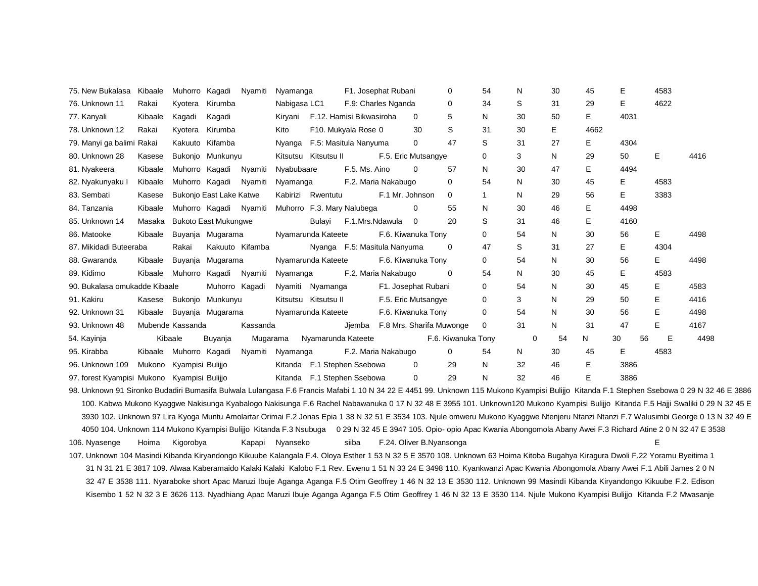| 75. New Bukalasa Kibaale                    |         | Muhorro Kagadi          |                                | Nyamiti         | Nyamanga             |                      |                                  | F1. Josephat Rubani |                                 | $\Omega$           | 54          | N  | 30 | 45   | E        | 4583 |      |
|---------------------------------------------|---------|-------------------------|--------------------------------|-----------------|----------------------|----------------------|----------------------------------|---------------------|---------------------------------|--------------------|-------------|----|----|------|----------|------|------|
| 76. Unknown 11                              | Rakai   | Kyotera                 | Kirumba                        |                 | Nabigasa LC1         |                      | F.9: Charles Nganda              |                     |                                 | 0                  | 34          | S  | 31 | 29   | Е        | 4622 |      |
| 77. Kanyali                                 | Kibaale | Kagadi                  | Kagadi                         |                 |                      |                      | Kiryani F.12. Hamisi Bikwasiroha |                     | $\mathbf{0}$                    | 5                  | N           | 30 | 50 | E.   | 4031     |      |      |
| 78. Unknown 12                              | Rakai   |                         | Kyotera Kirumba                |                 | Kito                 |                      | F10. Mukyala Rose 0              |                     | 30                              | S                  | 31          | 30 | E  | 4662 |          |      |      |
| 79. Manyi ga balimi Rakai                   |         |                         | Kakuuto Kifamba                |                 |                      |                      | Nyanga F.5: Masitula Nanyuma     |                     | 0                               | 47                 | S           | 31 | 27 | E.   | 4304     |      |      |
| 80. Unknown 28                              | Kasese  |                         | Bukonjo Munkunyu               |                 |                      | Kitsutsu Kitsutsu II |                                  |                     | F.5. Eric Mutsangye             |                    | 0           | 3  | N  | 29   | 50       | E.   | 4416 |
| 81. Nyakeera                                | Kibaale |                         | Muhorro Kagadi Nyamiti         |                 | Nyabubaare           |                      | F.5. Ms. Aino                    |                     | $\Omega$                        | 57                 | N           | 30 | 47 | E.   | 4494     |      |      |
| 82. Nyakunyaku l                            | Kibaale | Muhorro Kagadi          |                                | Nyamiti         | Nyamanga             |                      | F.2. Maria Nakabugo              |                     |                                 | 0                  | 54          | N  | 30 | 45   | Е        | 4583 |      |
| 83. Sembati                                 | Kasese  |                         | Bukonjo East Lake Katwe        |                 |                      | Kabirizi Rwentutu    |                                  | F.1 Mr. Johnson     |                                 | $\Omega$           | 1           | N  | 29 | 56   | Е        | 3383 |      |
| 84. Tanzania                                | Kibaale |                         | Muhorro Kagadi Nyamiti         |                 |                      |                      | Muhorro F.3. Mary Nalubega       |                     | 0                               | 55                 | N           | 30 | 46 | E.   | 4498     |      |      |
| 85. Unknown 14                              | Masaka  |                         | <b>Bukoto East Mukungwe</b>    |                 |                      | Bulayi               | F.1.Mrs.Ndawula 0                |                     |                                 | 20                 | S           | 31 | 46 | E.   | 4160     |      |      |
| 86. Matooke                                 | Kibaale |                         | Buyanja Mugarama               |                 | Nyamarunda Kateete   |                      |                                  |                     | F.6. Kiwanuka Tony              |                    | 0           | 54 | N  | 30   | 56       | E.   | 4498 |
| 87. Mikidadi Buteeraba                      |         | Rakai                   |                                | Kakuuto Kifamba |                      |                      | Nyanga F.5: Masitula Nanyuma     |                     |                                 | $\Omega$           | 47          | S  | 31 | 27   | E        | 4304 |      |
| 88. Gwaranda                                | Kibaale |                         | Buyanja Mugarama               |                 | Nyamarunda Kateete   |                      |                                  |                     | F.6. Kiwanuka Tony              |                    | 0           | 54 | N  | 30   | 56       | E.   | 4498 |
| 89. Kidimo                                  |         |                         | Kibaale Muhorro Kagadi Nyamiti |                 | Nyamanga             |                      | F.2. Maria Nakabugo              |                     |                                 | 0                  | 54          | N  | 30 | 45   | E        | 4583 |      |
| 90. Bukalasa omukadde Kibaale               |         |                         | Muhorro Kagadi                 |                 | Nyamiti Nyamanga     |                      |                                  |                     | F1. Josephat Rubani             |                    | 0           | 54 | N  | 30   | 45       | E.   | 4583 |
| 91. Kakiru                                  |         |                         | Kasese Bukonjo Munkunyu        |                 | Kitsutsu Kitsutsu II |                      |                                  |                     | F.5. Eric Mutsangye             |                    | $\mathbf 0$ | 3  | N  | 29   | 50       | E.   | 4416 |
| 92. Unknown 31                              |         |                         | Kibaale Buyanja Mugarama       |                 | Nyamarunda Kateete   |                      |                                  |                     | F.6. Kiwanuka Tony              |                    | $\Omega$    | 54 | N  | 30   | 56       | E.   | 4498 |
| 93. Unknown 48                              |         | Mubende Kassanda        |                                | Kassanda        |                      |                      |                                  |                     | Jiemba F.8 Mrs. Sharifa Muwonge |                    | 0           | 31 | N  | 31   | 47       | Е    | 4167 |
| 54. Kayinja                                 |         | Kibaale                 | Buyanja                        |                 | Mugarama             |                      | Nyamarunda Kateete               |                     |                                 | F.6. Kiwanuka Tony |             | 0  | 54 | N    | 30<br>56 | Е    | 4498 |
| 95. Kirabba                                 |         | Kibaale Muhorro Kagadi  |                                | Nyamiti         | Nyamanga             |                      | F.2. Maria Nakabugo              |                     |                                 | $\Omega$           | 54          | N  | 30 | 45   | E.       | 4583 |      |
| 96. Unknown 109                             |         | Mukono Kyampisi Bulijio |                                |                 |                      |                      | Kitanda F.1 Stephen Ssebowa      |                     | 0                               | 29                 | N.          | 32 | 46 | E.   | 3886     |      |      |
| 97. forest Kyampisi Mukono Kyampisi Bulijio |         |                         |                                |                 |                      |                      | Kitanda F.1 Stephen Ssebowa      |                     | 0                               | 29                 | N           | 32 | 46 | E.   | 3886     |      |      |

98. Unknown 91 Sironko Budadiri Bumasifa Bulwala Lulangasa F.6 Francis Mafabi 1 10 N 34 22 E 4451 99. Unknown 115 Mukono Kyampisi Bulijjo Kitanda F.1 Stephen Ssebowa 0 29 N 32 46 E 3886 100. Kabwa Mukono Kyaggwe Nakisunga Kyabalogo Nakisunga F.6 Rachel Nabawanuka 0 17 N 32 48 E 3955 101. Unknown120 Mukono Kyampisi Bulijjo Kitanda F.5 Hajji Swaliki 0 29 N 32 45 E 3930 102. Unknown 97 Lira Kyoga Muntu Amolartar Orimai F.2 Jonas Epia 1 38 N 32 51 E 3534 103. Njule omweru Mukono Kyaggwe Ntenjeru Ntanzi Ntanzi F.7 Walusimbi George 0 13 N 32 49 E 4050 104. Unknown 114 Mukono Kyampisi Bulijjo Kitanda F.3 Nsubuga 0 29 N 32 45 E 3947 105. Opio- opio Apac Kwania Abongomola Abany Awei F.3 Richard Atine 2 0 N 32 47 E 3538

106. Nyasenge Hoima Kigorobya Kapapi Nyanseko siiba F.24. Oliver B.Nyansonga E

107. Unknown 104 Masindi Kibanda Kiryandongo Kikuube Kalangala F.4. Oloya Esther 1 53 N 32 5 E 3570 108. Unknown 63 Hoima Kitoba Bugahya Kiragura Dwoli F.22 Yoramu Byeitima 1 31 N 31 21 E 3817 109. Alwaa Kaberamaido Kalaki Kalaki Kalobo F.1 Rev. Ewenu 1 51 N 33 24 E 3498 110. Kyankwanzi Apac Kwania Abongomola Abany Awei F.1 Abili James 2 0 N 32 47 E 3538 111. Nyaraboke short Apac Maruzi Ibuje Aganga Aganga F.5 Otim Geoffrey 1 46 N 32 13 E 3530 112. Unknown 99 Masindi Kibanda Kiryandongo Kikuube F.2. Edison Kisembo 1 52 N 32 3 E 3626 113. Nyadhiang Apac Maruzi Ibuje Aganga Aganga F.5 Otim Geoffrey 1 46 N 32 13 E 3530 114. Njule Mukono Kyampisi Bulijjo Kitanda F.2 Mwasanje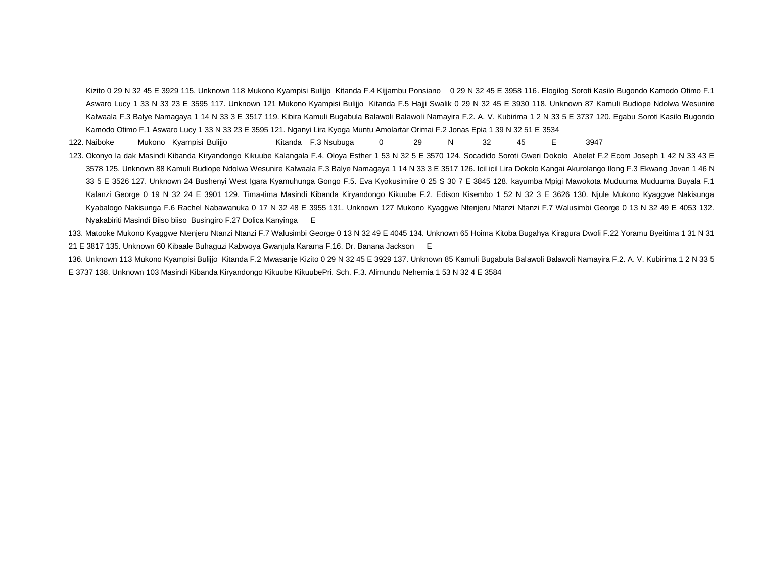Kizito 0 29 N 32 45 E 3929 115. Unknown 118 Mukono Kyampisi Bulijjo Kitanda F.4 Kijjambu Ponsiano 0 29 N 32 45 E 3958 116. Elogilog Soroti Kasilo Bugondo Kamodo Otimo F.1 Aswaro Lucy 1 33 N 33 23 E 3595 117. Unknown 121 Mukono Kyampisi Bulijjo Kitanda F.5 Hajji Swalik 0 29 N 32 45 E 3930 118. Unknown 87 Kamuli Budiope Ndolwa Wesunire Kalwaala F.3 Balye Namagaya 1 14 N 33 3 E 3517 119. Kibira Kamuli Bugabula Balawoli Balawoli Namayira F.2. A. V. Kubirima 1 2 N 33 5 E 3737 120. Egabu Soroti Kasilo Bugondo Kamodo Otimo F.1 Aswaro Lucy 1 33 N 33 23 E 3595 121. Nganyi Lira Kyoga Muntu Amolartar Orimai F.2 Jonas Epia 1 39 N 32 51 E 3534

122. Naiboke Mukono Kyampisi Bulijjo kitanda F.3 Nsubuga 0 29 N 32 45 E 3947

123. Okonyo la dak Masindi Kibanda Kiryandongo Kikuube Kalangala F.4. Oloya Esther 1 53 N 32 5 E 3570 124. Socadido Soroti Gweri Dokolo Abelet F.2 Ecom Joseph 1 42 N 33 43 E 3578 125. Unknown 88 Kamuli Budiope Ndolwa Wesunire Kalwaala F.3 Balye Namagaya 1 14 N 33 3 E 3517 126. Icil icil Lira Dokolo Kangai Akurolango Ilong F.3 Ekwang Jovan 1 46 N 33 5 E 3526 127. Unknown 24 Bushenyi West Igara Kyamuhunga Gongo F.5. Eva Kyokusimiire 0 25 S 30 7 E 3845 128. kayumba Mpigi Mawokota Muduuma Muduuma Buyala F.1 Kalanzi George 0 19 N 32 24 E 3901 129. Tima-tima Masindi Kibanda Kiryandongo Kikuube F.2. Edison Kisembo 1 52 N 32 3 E 3626 130. Njule Mukono Kyaggwe Nakisunga Kyabalogo Nakisunga F.6 Rachel Nabawanuka 0 17 N 32 48 E 3955 131. Unknown 127 Mukono Kyaggwe Ntenjeru Ntanzi Ntanzi F.7 Walusimbi George 0 13 N 32 49 E 4053 132. Nyakabiriti Masindi Biiso biiso Busingiro F.27 Dolica Kanyinga E

133. Matooke Mukono Kyaggwe Ntenjeru Ntanzi Ntanzi F.7 Walusimbi George 0 13 N 32 49 E 4045 134. Unknown 65 Hoima Kitoba Bugahya Kiragura Dwoli F.22 Yoramu Byeitima 1 31 N 31 21 E 3817 135. Unknown 60 Kibaale Buhaguzi Kabwoya Gwanjula Karama F.16. Dr. Banana Jackson E

136. Unknown 113 Mukono Kyampisi Bulijjo Kitanda F.2 Mwasanje Kizito 0 29 N 32 45 E 3929 137. Unknown 85 Kamuli Bugabula Balawoli Balawoli Namayira F.2. A. V. Kubirima 1 2 N 33 5 E 3737 138. Unknown 103 Masindi Kibanda Kiryandongo Kikuube KikuubePri. Sch. F.3. Alimundu Nehemia 1 53 N 32 4 E 3584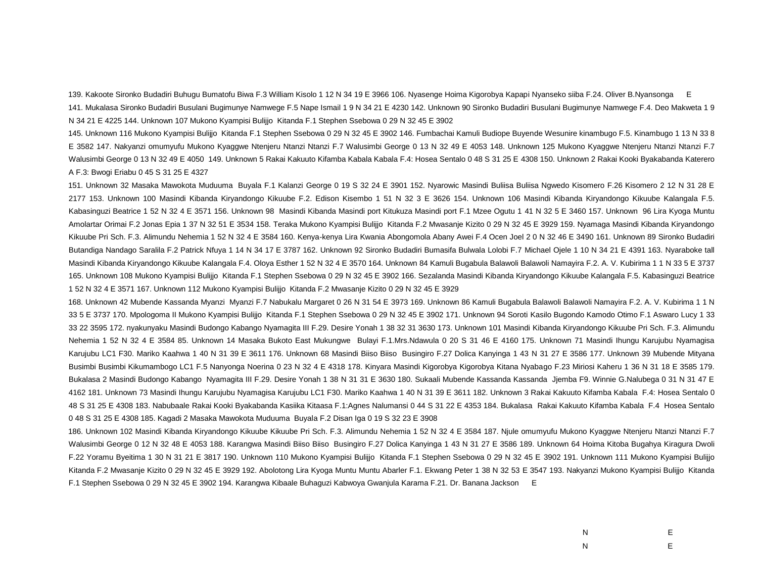139. Kakoote Sironko Budadiri Buhugu Bumatofu Biwa F.3 William Kisolo 1 12 N 34 19 E 3966 106. Nyasenge Hoima Kigorobya Kapapi Nyanseko siiba F.24. Oliver B.Nyansonga E 141. Mukalasa Sironko Budadiri Busulani Bugimunye Namwege F.5 Nape Ismail 1 9 N 34 21 E 4230 142. Unknown 90 Sironko Budadiri Busulani Bugimunye Namwege F.4. Deo Makweta 1 9 N 34 21 E 4225 144. Unknown 107 Mukono Kyampisi Bulijjo Kitanda F.1 Stephen Ssebowa 0 29 N 32 45 E 3902

145. Unknown 116 Mukono Kyampisi Bulijjo Kitanda F.1 Stephen Ssebowa 0 29 N 32 45 E 3902 146. Fumbachai Kamuli Budiope Buyende Wesunire kinambugo F.5. Kinambugo 1 13 N 33 8 E 3582 147. Nakyanzi omumyufu Mukono Kyaggwe Ntenjeru Ntanzi Ntanzi F.7 Walusimbi George 0 13 N 32 49 E 4053 148. Unknown 125 Mukono Kyaggwe Ntenjeru Ntanzi Ntanzi F.7 Walusimbi George 0 13 N 32 49 E 4050 149. Unknown 5 Rakai Kakuuto Kifamba Kabala Kabala F.4: Hosea Sentalo 0 48 S 31 25 E 4308 150. Unknown 2 Rakai Kooki Byakabanda Katerero A F.3: Bwogi Eriabu 0 45 S 31 25 E 4327

151. Unknown 32 Masaka Mawokota Muduuma Buyala F.1 Kalanzi George 0 19 S 32 24 E 3901 152. Nyarowic Masindi Buliisa Buliisa Ngwedo Kisomero F.26 Kisomero 2 12 N 31 28 E 2177 153. Unknown 100 Masindi Kibanda Kiryandongo Kikuube F.2. Edison Kisembo 1 51 N 32 3 E 3626 154. Unknown 106 Masindi Kibanda Kiryandongo Kikuube Kalangala F.5. Kabasinguzi Beatrice 1 52 N 32 4 E 3571 156. Unknown 98 Masindi Kibanda Masindi port Kitukuza Masindi port F.1 Mzee Ogutu 1 41 N 32 5 E 3460 157. Unknown 96 Lira Kyoga Muntu Amolartar Orimai F.2 Jonas Epia 1 37 N 32 51 E 3534 158. Teraka Mukono Kyampisi Bulijjo Kitanda F.2 Mwasanje Kizito 0 29 N 32 45 E 3929 159. Nyamaga Masindi Kibanda Kiryandongo Kikuube Pri Sch. F.3. Alimundu Nehemia 1 52 N 32 4 E 3584 160. Kenya-kenya Lira Kwania Abongomola Abany Awei F.4 Ocen Joel 2 0 N 32 46 E 3490 161. Unknown 89 Sironko Budadiri Butandiga Nandago Saralila F.2 Patrick Nfuya 1 14 N 34 17 E 3787 162. Unknown 92 Sironko Budadiri Bumasifa Bulwala Lolobi F.7 Michael Ojele 1 10 N 34 21 E 4391 163. Nyaraboke tall Masindi Kibanda Kiryandongo Kikuube Kalangala F.4. Oloya Esther 1 52 N 32 4 E 3570 164. Unknown 84 Kamuli Bugabula Balawoli Balawoli Namayira F.2. A. V. Kubirima 1 1 N 33 5 E 3737 165. Unknown 108 Mukono Kyampisi Bulijjo Kitanda F.1 Stephen Ssebowa 0 29 N 32 45 E 3902 166. Sezalanda Masindi Kibanda Kiryandongo Kikuube Kalangala F.5. Kabasinguzi Beatrice 1 52 N 32 4 E 3571 167. Unknown 112 Mukono Kyampisi Bulijjo Kitanda F.2 Mwasanje Kizito 0 29 N 32 45 E 3929

168. Unknown 42 Mubende Kassanda Myanzi Myanzi F.7 Nabukalu Margaret 0 26 N 31 54 E 3973 169. Unknown 86 Kamuli Bugabula Balawoli Balawoli Namayira F.2. A. V. Kubirima 1 1 N 33 5 E 3737 170. Mpologoma II Mukono Kyampisi Bulijjo Kitanda F.1 Stephen Ssebowa 0 29 N 32 45 E 3902 171. Unknown 94 Soroti Kasilo Bugondo Kamodo Otimo F.1 Aswaro Lucy 1 33 33 22 3595 172. nyakunyaku Masindi Budongo Kabango Nyamagita III F.29. Desire Yonah 1 38 32 31 3630 173. Unknown 101 Masindi Kibanda Kiryandongo Kikuube Pri Sch. F.3. Alimundu Nehemia 1 52 N 32 4 E 3584 85. Unknown 14 Masaka Bukoto East Mukungwe Bulayi F.1.Mrs.Ndawula 0 20 S 31 46 E 4160 175. Unknown 71 Masindi Ihungu Karujubu Nyamagisa Karujubu LC1 F30. Mariko Kaahwa 1 40 N 31 39 E 3611 176. Unknown 68 Masindi Biiso Biiso Busingiro F.27 Dolica Kanyinga 1 43 N 31 27 E 3586 177. Unknown 39 Mubende Mityana Busimbi Busimbi Kikumambogo LC1 F.5 Nanyonga Noerina 0 23 N 32 4 E 4318 178. Kinyara Masindi Kigorobya Kigorobya Kitana Nyabago F.23 Miriosi Kaheru 1 36 N 31 18 E 3585 179. Bukalasa 2 Masindi Budongo Kabango Nyamagita III F.29. Desire Yonah 1 38 N 31 31 E 3630 180. Sukaali Mubende Kassanda Kassanda Jjemba F9. Winnie G.Nalubega 0 31 N 31 47 E 4162 181. Unknown 73 Masindi Ihungu Karujubu Nyamagisa Karujubu LC1 F30. Mariko Kaahwa 1 40 N 31 39 E 3611 182. Unknown 3 Rakai Kakuuto Kifamba Kabala F.4: Hosea Sentalo 0 48 S 31 25 E 4308 183. Nabubaale Rakai Kooki Byakabanda Kasiika Kitaasa F.1:Agnes Nalumansi 0 44 S 31 22 E 4353 184. Bukalasa Rakai Kakuuto Kifamba Kabala F.4 Hosea Sentalo 0 48 S 31 25 E 4308 185. Kagadi 2 Masaka Mawokota Muduuma Buyala F.2 Disan Iga 0 19 S 32 23 E 3908

186. Unknown 102 Masindi Kibanda Kiryandongo Kikuube Kikuube Pri Sch. F.3. Alimundu Nehemia 1 52 N 32 4 E 3584 187. Njule omumyufu Mukono Kyaggwe Ntenjeru Ntanzi Ntanzi F.7 Walusimbi George 0 12 N 32 48 E 4053 188. Karangwa Masindi Biiso Biiso Busingiro F.27 Dolica Kanyinga 1 43 N 31 27 E 3586 189. Unknown 64 Hoima Kitoba Bugahya Kiragura Dwoli F.22 Yoramu Byeitima 1 30 N 31 21 E 3817 190. Unknown 110 Mukono Kyampisi Bulijjo Kitanda F.1 Stephen Ssebowa 0 29 N 32 45 E 3902 191. Unknown 111 Mukono Kyampisi Bulijjo Kitanda F.2 Mwasanje Kizito 0 29 N 32 45 E 3929 192. Abolotong Lira Kyoga Muntu Muntu Abarler F.1. Ekwang Peter 1 38 N 32 53 E 3547 193. Nakyanzi Mukono Kyampisi Bulijjo Kitanda F.1 Stephen Ssebowa 0 29 N 32 45 E 3902 194. Karangwa Kibaale Buhaguzi Kabwoya Gwanjula Karama F.21. Dr. Banana Jackson E

| N | E  |
|---|----|
| N | E. |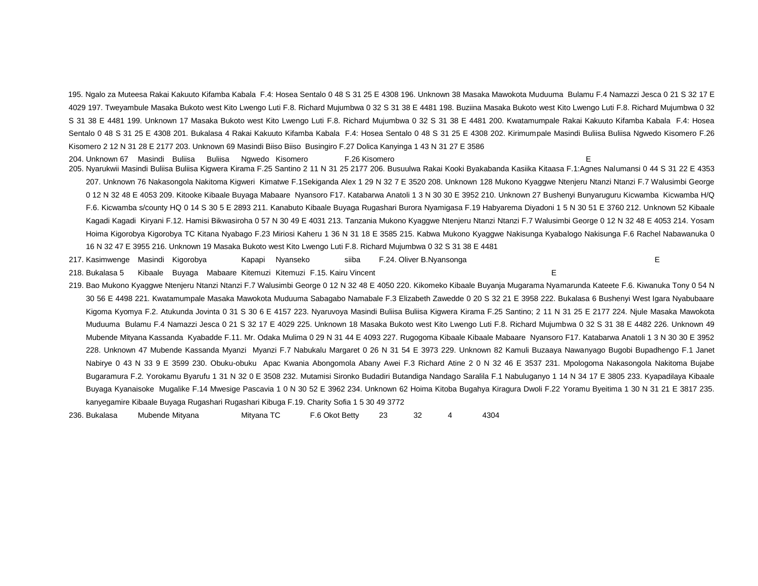195. Ngalo za Muteesa Rakai Kakuuto Kifamba Kabala F.4: Hosea Sentalo 0 48 S 31 25 E 4308 196. Unknown 38 Masaka Mawokota Muduuma Bulamu F.4 Namazzi Jesca 0 21 S 32 17 E 4029 197. Tweyambule Masaka Bukoto west Kito Lwengo Luti F.8. Richard Mujumbwa 0 32 S 31 38 E 4481 198. Buziina Masaka Bukoto west Kito Lwengo Luti F.8. Richard Mujumbwa 0 32 S 31 38 E 4481 199. Unknown 17 Masaka Bukoto west Kito Lwengo Luti F.8. Richard Mujumbwa 0 32 S 31 38 E 4481 200. Kwatamumpale Rakai Kakuuto Kifamba Kabala F.4: Hosea Sentalo 0 48 S 31 25 E 4308 201. Bukalasa 4 Rakai Kakuuto Kifamba Kabala F.4: Hosea Sentalo 0 48 S 31 25 E 4308 202. Kirimumpale Masindi Buliisa Buliisa Ngwedo Kisomero F.26 Kisomero 2 12 N 31 28 E 2177 203. Unknown 69 Masindi Biiso Biiso Busingiro F.27 Dolica Kanyinga 1 43 N 31 27 E 3586

204. Unknown 67 Masindi Buliisa Buliisa Ngwedo Kisomero F.26 Kisomero E 205. Nyarukwii Masindi Buliisa Buliisa Kigwera Kirama F.25 Santino 2 11 N 31 25 2177 206. Busuulwa Rakai Kooki Byakabanda Kasiika Kitaasa F.1:Agnes Nalumansi 0 44 S 31 22 E 4353 207. Unknown 76 Nakasongola Nakitoma Kigweri Kimatwe F.1Sekiganda Alex 1 29 N 32 7 E 3520 208. Unknown 128 Mukono Kyaggwe Ntenjeru Ntanzi Ntanzi F.7 Walusimbi George 0 12 N 32 48 E 4053 209. Kitooke Kibaale Buyaga Mabaare Nyansoro F17. Katabarwa Anatoli 1 3 N 30 30 E 3952 210. Unknown 27 Bushenyi Bunyaruguru Kicwamba Kicwamba H/Q F.6. Kicwamba s/county HQ 0 14 S 30 5 E 2893 211. Kanabuto Kibaale Buyaga Rugashari Burora Nyamigasa F.19 Habyarema Diyadoni 1 5 N 30 51 E 3760 212. Unknown 52 Kibaale Kagadi Kagadi Kiryani F.12. Hamisi Bikwasiroha 0 57 N 30 49 E 4031 213. Tanzania Mukono Kyaggwe Ntenjeru Ntanzi Ntanzi F.7 Walusimbi George 0 12 N 32 48 E 4053 214. Yosam Hoima Kigorobya Kigorobya TC Kitana Nyabago F.23 Miriosi Kaheru 1 36 N 31 18 E 3585 215. Kabwa Mukono Kyaggwe Nakisunga Kyabalogo Nakisunga F.6 Rachel Nabawanuka 0 16 N 32 47 E 3955 216. Unknown 19 Masaka Bukoto west Kito Lwengo Luti F.8. Richard Mujumbwa 0 32 S 31 38 E 4481

217. Kasimwenge Masindi Kigorobya Kapapi Nyanseko siiba F.24. Oliver B.Nyansonga E

218. Bukalasa 5 Kibaale Buyaga Mabaare Kitemuzi Kitemuzi F.15. Kairu Vincent E

219. Bao Mukono Kyaggwe Ntenjeru Ntanzi Ntanzi F.7 Walusimbi George 0 12 N 32 48 E 4050 220. Kikomeko Kibaale Buyanja Mugarama Nyamarunda Kateete F.6. Kiwanuka Tony 0 54 N 30 56 E 4498 221. Kwatamumpale Masaka Mawokota Muduuma Sabagabo Namabale F.3 Elizabeth Zawedde 0 20 S 32 21 E 3958 222. Bukalasa 6 Bushenyi West Igara Nyabubaare Kigoma Kyomya F.2. Atukunda Jovinta 0 31 S 30 6 E 4157 223. Nyaruvoya Masindi Buliisa Buliisa Kigwera Kirama F.25 Santino; 2 11 N 31 25 E 2177 224. Njule Masaka Mawokota Muduuma Bulamu F.4 Namazzi Jesca 0 21 S 32 17 E 4029 225. Unknown 18 Masaka Bukoto west Kito Lwengo Luti F.8. Richard Mujumbwa 0 32 S 31 38 E 4482 226. Unknown 49 Mubende Mityana Kassanda Kyabadde F.11. Mr. Odaka Mulima 0 29 N 31 44 E 4093 227. Rugogoma Kibaale Kibaale Mabaare Nyansoro F17. Katabarwa Anatoli 1 3 N 30 30 E 3952 228. Unknown 47 Mubende Kassanda Myanzi Myanzi F.7 Nabukalu Margaret 0 26 N 31 54 E 3973 229. Unknown 82 Kamuli Buzaaya Nawanyago Bugobi Bupadhengo F.1 Janet Nabirye 0 43 N 33 9 E 3599 230. Obuku-obuku Apac Kwania Abongomola Abany Awei F.3 Richard Atine 2 0 N 32 46 E 3537 231. Mpologoma Nakasongola Nakitoma Bujabe Bugaramura F.2. Yorokamu Byarufu 1 31 N 32 0 E 3508 232. Mutamisi Sironko Budadiri Butandiga Nandago Saralila F.1 Nabuluganyo 1 14 N 34 17 E 3805 233. Kyapadilaya Kibaale Buyaga Kyanaisoke Mugalike F.14 Mwesige Pascavia 1 0 N 30 52 E 3962 234. Unknown 62 Hoima Kitoba Bugahya Kiragura Dwoli F.22 Yoramu Byeitima 1 30 N 31 21 E 3817 235. kanyegamire Kibaale Buyaga Rugashari Rugashari Kibuga F.19. Charity Sofia 1 5 30 49 3772

236. Bukalasa Mubende Mityana Mityana TC F.6 Okot Betty 23 32 4 4304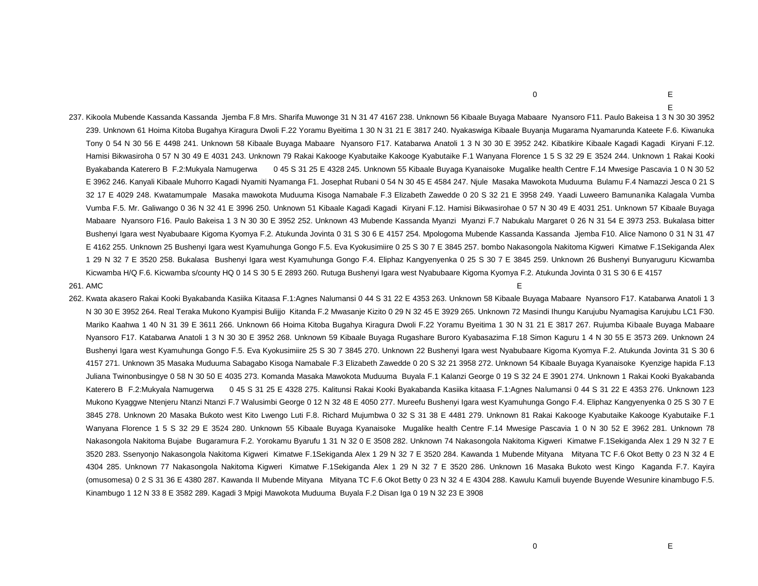$\overline{0}$  E

237. Kikoola Mubende Kassanda Kassanda Jjemba F.8 Mrs. Sharifa Muwonge 31 N 31 47 4167 238. Unknown 56 Kibaale Buyaga Mabaare Nyansoro F11. Paulo Bakeisa 1 3 N 30 30 3952 239. Unknown 61 Hoima Kitoba Bugahya Kiragura Dwoli F.22 Yoramu Byeitima 1 30 N 31 21 E 3817 240. Nyakaswiga Kibaale Buyanja Mugarama Nyamarunda Kateete F.6. Kiwanuka Tony 0 54 N 30 56 E 4498 241. Unknown 58 Kibaale Buyaga Mabaare Nyansoro F17. Katabarwa Anatoli 1 3 N 30 30 E 3952 242. Kibatikire Kibaale Kagadi Kagadi Kiryani F.12. Hamisi Bikwasiroha 0 57 N 30 49 E 4031 243. Unknown 79 Rakai Kakooge Kyabutaike Kakooge Kyabutaike F.1 Wanyana Florence 1 5 S 32 29 E 3524 244. Unknown 1 Rakai Kooki Byakabanda Katerero B F.2:Mukyala Namugerwa 0 45 S 31 25 E 4328 245. Unknown 55 Kibaale Buyaga Kyanaisoke Mugalike health Centre F.14 Mwesige Pascavia 1 0 N 30 52 E 3962 246. Kanyali Kibaale Muhorro Kagadi Nyamiti Nyamanga F1. Josephat Rubani 0 54 N 30 45 E 4584 247. Njule Masaka Mawokota Muduuma Bulamu F.4 Namazzi Jesca 0 21 S 32 17 E 4029 248. Kwatamumpale Masaka mawokota Muduuma Kisoga Namabale F.3 Elizabeth Zawedde 0 20 S 32 21 E 3958 249. Yaadi Luweero Bamunanika Kalagala Vumba Vumba F.5. Mr. Galiwango 0 36 N 32 41 E 3996 250. Unknown 51 Kibaale Kagadi Kagadi Kiryani F.12. Hamisi Bikwasirohae 0 57 N 30 49 E 4031 251. Unknown 57 Kibaale Buyaga Mabaare Nyansoro F16. Paulo Bakeisa 1 3 N 30 30 E 3952 252. Unknown 43 Mubende Kassanda Myanzi Myanzi F.7 Nabukalu Margaret 0 26 N 31 54 E 3973 253. Bukalasa bitter Bushenyi Igara west Nyabubaare Kigoma Kyomya F.2. Atukunda Jovinta 0 31 S 30 6 E 4157 254. Mpologoma Mubende Kassanda Kassanda Jjemba F10. Alice Namono 0 31 N 31 47 E 4162 255. Unknown 25 Bushenyi Igara west Kyamuhunga Gongo F.5. Eva Kyokusimiire 0 25 S 30 7 E 3845 257. bombo Nakasongola Nakitoma Kigweri Kimatwe F.1Sekiganda Alex 1 29 N 32 7 E 3520 258. Bukalasa Bushenyi Igara west Kyamuhunga Gongo F.4. Eliphaz Kangyenyenka 0 25 S 30 7 E 3845 259. Unknown 26 Bushenyi Bunyaruguru Kicwamba Kicwamba H/Q F.6. Kicwamba s/county HQ 0 14 S 30 5 E 2893 260. Rutuga Bushenyi Igara west Nyabubaare Kigoma Kyomya F.2. Atukunda Jovinta 0 31 S 30 6 E 4157

#### 261. AMC E

262. Kwata akasero Rakai Kooki Byakabanda Kasiika Kitaasa F.1:Agnes Nalumansi 0 44 S 31 22 E 4353 263. Unknown 58 Kibaale Buyaga Mabaare Nyansoro F17. Katabarwa Anatoli 1 3 N 30 30 E 3952 264. Real Teraka Mukono Kyampisi Bulijjo Kitanda F.2 Mwasanje Kizito 0 29 N 32 45 E 3929 265. Unknown 72 Masindi Ihungu Karujubu Nyamagisa Karujubu LC1 F30. Mariko Kaahwa 1 40 N 31 39 E 3611 266. Unknown 66 Hoima Kitoba Bugahya Kiragura Dwoli F.22 Yoramu Byeitima 1 30 N 31 21 E 3817 267. Rujumba Kibaale Buyaga Mabaare Nyansoro F17. Katabarwa Anatoli 1 3 N 30 30 E 3952 268. Unknown 59 Kibaale Buyaga Rugashare Buroro Kyabasazima F.18 Simon Kaguru 1 4 N 30 55 E 3573 269. Unknown 24 Bushenyi Igara west Kyamuhunga Gongo F.5. Eva Kyokusimiire 25 S 30 7 3845 270. Unknown 22 Bushenyi Igara west Nyabubaare Kigoma Kyomya F.2. Atukunda Jovinta 31 S 30 6 4157 271. Unknown 35 Masaka Muduuma Sabagabo Kisoga Namabale F.3 Elizabeth Zawedde 0 20 S 32 21 3958 272. Unknown 54 Kibaale Buyaga Kyanaisoke Kyenzige hapida F.13 Juliana Twinonbusingye 0 58 N 30 50 E 4035 273. Komanda Masaka Mawokota Muduuma Buyala F.1 Kalanzi George 0 19 S 32 24 E 3901 274. Unknown 1 Rakai Kooki Byakabanda Katerero B F.2:Mukyala Namugerwa 0 45 S 31 25 E 4328 275. Kalitunsi Rakai Kooki Byakabanda Kasiika kitaasa F.1:Agnes Nalumansi 0 44 S 31 22 E 4353 276. Unknown 123 Mukono Kyaggwe Ntenjeru Ntanzi Ntanzi F.7 Walusimbi George 0 12 N 32 48 E 4050 277. Mureefu Bushenyi Igara west Kyamuhunga Gongo F.4. Eliphaz Kangyenyenka 0 25 S 30 7 E 3845 278. Unknown 20 Masaka Bukoto west Kito Lwengo Luti F.8. Richard Mujumbwa 0 32 S 31 38 E 4481 279. Unknown 81 Rakai Kakooge Kyabutaike Kakooge Kyabutaike F.1 Wanyana Florence 1 5 S 32 29 E 3524 280. Unknown 55 Kibaale Buyaga Kyanaisoke Mugalike health Centre F.14 Mwesige Pascavia 1 0 N 30 52 E 3962 281. Unknown 78 Nakasongola Nakitoma Bujabe Bugaramura F.2. Yorokamu Byarufu 1 31 N 32 0 E 3508 282. Unknown 74 Nakasongola Nakitoma Kigweri Kimatwe F.1Sekiganda Alex 1 29 N 32 7 E 3520 283. Ssenyonjo Nakasongola Nakitoma Kigweri Kimatwe F.1Sekiganda Alex 1 29 N 32 7 E 3520 284. Kawanda 1 Mubende Mityana Mityana TC F.6 Okot Betty 0 23 N 32 4 E 4304 285. Unknown 77 Nakasongola Nakitoma Kigweri Kimatwe F.1Sekiganda Alex 1 29 N 32 7 E 3520 286. Unknown 16 Masaka Bukoto west Kingo Kaganda F.7. Kayira (omusomesa) 0 2 S 31 36 E 4380 287. Kawanda II Mubende Mityana Mityana TC F.6 Okot Betty 0 23 N 32 4 E 4304 288. Kawulu Kamuli buyende Buyende Wesunire kinambugo F.5. Kinambugo 1 12 N 33 8 E 3582 289. Kagadi 3 Mpigi Mawokota Muduuma Buyala F.2 Disan Iga 0 19 N 32 23 E 3908

E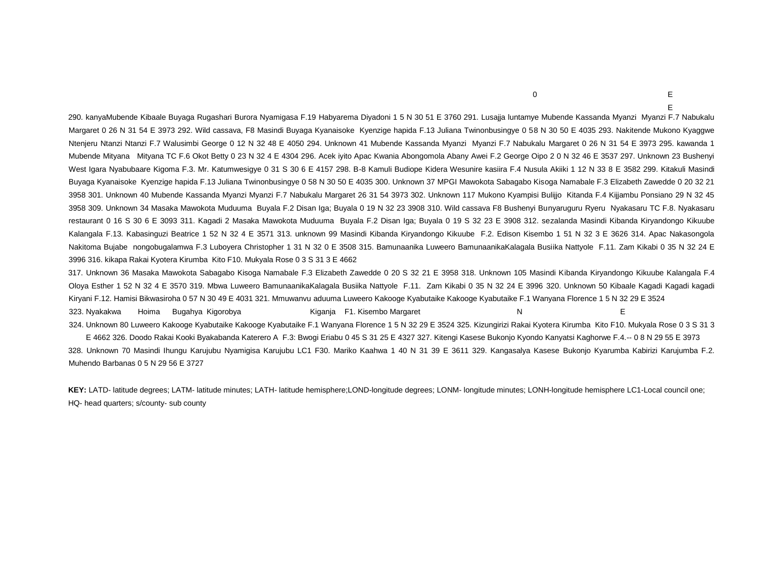290. kanyaMubende Kibaale Buyaga Rugashari Burora Nyamigasa F.19 Habyarema Diyadoni 1 5 N 30 51 E 3760 291. Lusajja luntamye Mubende Kassanda Myanzi Myanzi F.7 Nabukalu Margaret 0 26 N 31 54 E 3973 292. Wild cassava, F8 Masindi Buyaga Kyanaisoke Kyenzige hapida F.13 Juliana Twinonbusingye 0 58 N 30 50 E 4035 293. Nakitende Mukono Kyaggwe Ntenjeru Ntanzi Ntanzi F.7 Walusimbi George 0 12 N 32 48 E 4050 294. Unknown 41 Mubende Kassanda Myanzi Myanzi F.7 Nabukalu Margaret 0 26 N 31 54 E 3973 295. kawanda 1 Mubende Mityana Mityana TC F.6 Okot Betty 0 23 N 32 4 E 4304 296. Acek iyito Apac Kwania Abongomola Abany Awei F.2 George Oipo 2 0 N 32 46 E 3537 297. Unknown 23 Bushenyi West Igara Nyabubaare Kigoma F.3. Mr. Katumwesigye 0 31 S 30 6 E 4157 298. B-8 Kamuli Budiope Kidera Wesunire kasiira F.4 Nusula Akiiki 1 12 N 33 8 E 3582 299. Kitakuli Masindi Buyaga Kyanaisoke Kyenzige hapida F.13 Juliana Twinonbusingye 0 58 N 30 50 E 4035 300. Unknown 37 MPGI Mawokota Sabagabo Kisoga Namabale F.3 Elizabeth Zawedde 0 20 32 21 3958 301. Unknown 40 Mubende Kassanda Myanzi Myanzi F.7 Nabukalu Margaret 26 31 54 3973 302. Unknown 117 Mukono Kyampisi Bulijjo Kitanda F.4 Kijjambu Ponsiano 29 N 32 45 3958 309. Unknown 34 Masaka Mawokota Muduuma Buyala F.2 Disan Iga; Buyala 0 19 N 32 23 3908 310. Wild cassava F8 Bushenyi Bunyaruguru Ryeru Nyakasaru TC F.8. Nyakasaru restaurant 0 16 S 30 6 E 3093 311. Kagadi 2 Masaka Mawokota Muduuma Buyala F.2 Disan Iga; Buyala 0 19 S 32 23 E 3908 312. sezalanda Masindi Kibanda Kiryandongo Kikuube Kalangala F.13. Kabasinguzi Beatrice 1 52 N 32 4 E 3571 313. unknown 99 Masindi Kibanda Kiryandongo Kikuube F.2. Edison Kisembo 1 51 N 32 3 E 3626 314. Apac Nakasongola Nakitoma Bujabe nongobugalamwa F.3 Luboyera Christopher 1 31 N 32 0 E 3508 315. Bamunaanika Luweero BamunaanikaKalagala Busiika Nattyole F.11. Zam Kikabi 0 35 N 32 24 E 3996 316. kikapa Rakai Kyotera Kirumba Kito F10. Mukyala Rose 0 3 S 31 3 E 4662

317. Unknown 36 Masaka Mawokota Sabagabo Kisoga Namabale F.3 Elizabeth Zawedde 0 20 S 32 21 E 3958 318. Unknown 105 Masindi Kibanda Kiryandongo Kikuube Kalangala F.4 Oloya Esther 1 52 N 32 4 E 3570 319. Mbwa Luweero BamunaanikaKalagala Busiika Nattyole F.11. Zam Kikabi 0 35 N 32 24 E 3996 320. Unknown 50 Kibaale Kagadi Kagadi kagadi Kiryani F.12. Hamisi Bikwasiroha 0 57 N 30 49 E 4031 321. Mmuwanvu aduuma Luweero Kakooge Kyabutaike Kakooge Kyabutaike F.1 Wanyana Florence 1 5 N 32 29 E 3524 323. Nyakakwa Hoima Bugahya Kigorobya Kiganja F1. Kisembo Margaret N E

324. Unknown 80 Luweero Kakooge Kyabutaike Kakooge Kyabutaike F.1 Wanyana Florence 1 5 N 32 29 E 3524 325. Kizungirizi Rakai Kyotera Kirumba Kito F10. Mukyala Rose 0 3 S 31 3 E 4662 326. Doodo Rakai Kooki Byakabanda Katerero A F.3: Bwogi Eriabu 0 45 S 31 25 E 4327 327. Kitengi Kasese Bukonjo Kyondo Kanyatsi Kaghorwe F.4.-- 0 8 N 29 55 E 3973

328. Unknown 70 Masindi Ihungu Karujubu Nyamigisa Karujubu LC1 F30. Mariko Kaahwa 1 40 N 31 39 E 3611 329. Kangasalya Kasese Bukonjo Kyarumba Kabirizi Karujumba F.2. Muhendo Barbanas 0 5 N 29 56 E 3727

**KEY:** LATD- latitude degrees; LATM- latitude minutes; LATH- latitude hemisphere;LOND-longitude degrees; LONM- longitude minutes; LONH-longitude hemisphere LC1-Local council one; HQ- head quarters; s/county- sub county

 $\overline{0}$  E

E